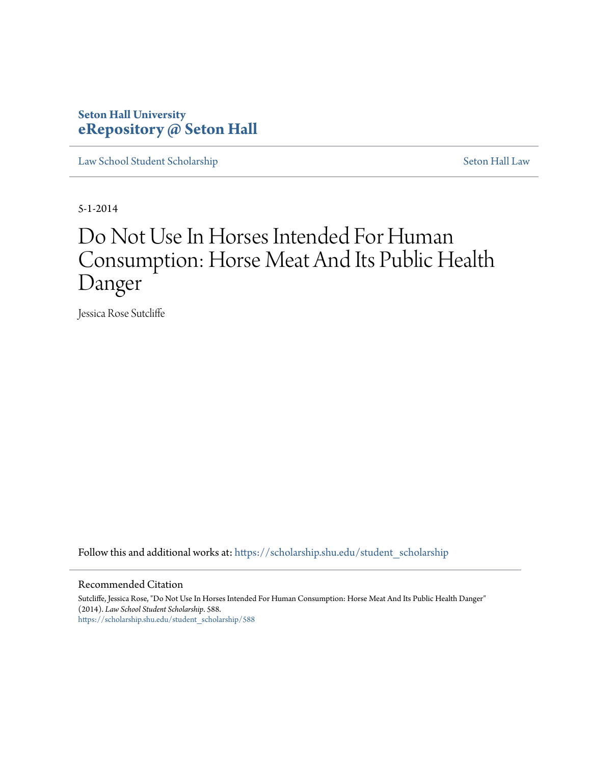### **Seton Hall University [eRepository @ Seton Hall](https://scholarship.shu.edu?utm_source=scholarship.shu.edu%2Fstudent_scholarship%2F588&utm_medium=PDF&utm_campaign=PDFCoverPages)**

[Law School Student Scholarship](https://scholarship.shu.edu/student_scholarship?utm_source=scholarship.shu.edu%2Fstudent_scholarship%2F588&utm_medium=PDF&utm_campaign=PDFCoverPages) [Seton Hall Law](https://scholarship.shu.edu/law?utm_source=scholarship.shu.edu%2Fstudent_scholarship%2F588&utm_medium=PDF&utm_campaign=PDFCoverPages)

5-1-2014

# Do Not Use In Horses Intended For Human Consumption: Horse Meat And Its Public Health Danger

Jessica Rose Sutcliffe

Follow this and additional works at: [https://scholarship.shu.edu/student\\_scholarship](https://scholarship.shu.edu/student_scholarship?utm_source=scholarship.shu.edu%2Fstudent_scholarship%2F588&utm_medium=PDF&utm_campaign=PDFCoverPages)

#### Recommended Citation

Sutcliffe, Jessica Rose, "Do Not Use In Horses Intended For Human Consumption: Horse Meat And Its Public Health Danger" (2014). *Law School Student Scholarship*. 588. [https://scholarship.shu.edu/student\\_scholarship/588](https://scholarship.shu.edu/student_scholarship/588?utm_source=scholarship.shu.edu%2Fstudent_scholarship%2F588&utm_medium=PDF&utm_campaign=PDFCoverPages)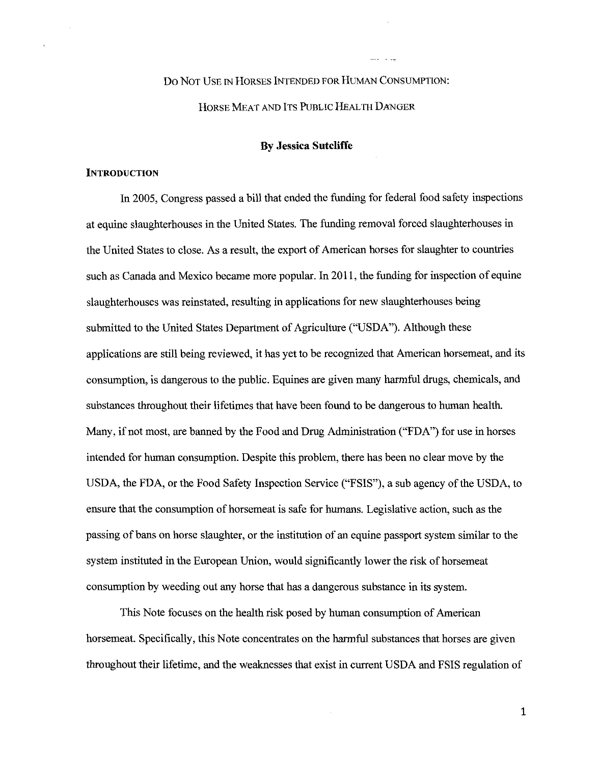# Do NOT USE IN HORSES INTENDED FOR HUMAN CONSUMPTION: HORSE MEAT AND ITS PUBLIC HEALTH DANGER

#### **By Jessica Sutcliffe**

#### **INTRODUCTION**

In 2005, Congress passed a bill that ended the funding for federal food safety inspections at equine slaughterhouses in the United States. The funding removal forced slaughterhouses in the United States to close. As a result, the export of American horses for slaughter to countries such as Canada and Mexico became more popular. In 2011, the funding for inspection of equine slaughterhouses was reinstated, resulting in applications for new slaughterhouses being submitted to the United States Department of Agriculture ("USDA"). Although these applications are still being reviewed, it has yet to be recognized that American horsemeat, and its consumption, is dangerous to the public. Equines are given many harmful drugs, chemicals, and substances throughout their lifetimes that have been found to be dangerous to human health. Many, if not most, are banned by the Food and Drug Administration ("FDA") for use in horses intended for human consumption. Despite this problem, there has been no clear move by the USDA, the FDA, or the Food Safety Inspection Service ("FSIS"), a sub agency of the USDA, to ensure that the consumption of horsemeat is safe for humans. Legislative action, such as the passing of bans on horse slaughter, or the institution of an equine passport system similar to the system instituted in the European Union, would significantly lower the risk of horsemeat consumption by weeding out any horse that has a dangerous substance in its system.

This Note focuses on the health risk posed by human consumption of American horsemeat. Specifically, this Note concentrates on the harmful substances that horses are given throughout their lifetime, and the weaknesses that exist in current USDA and FSIS regulation of

1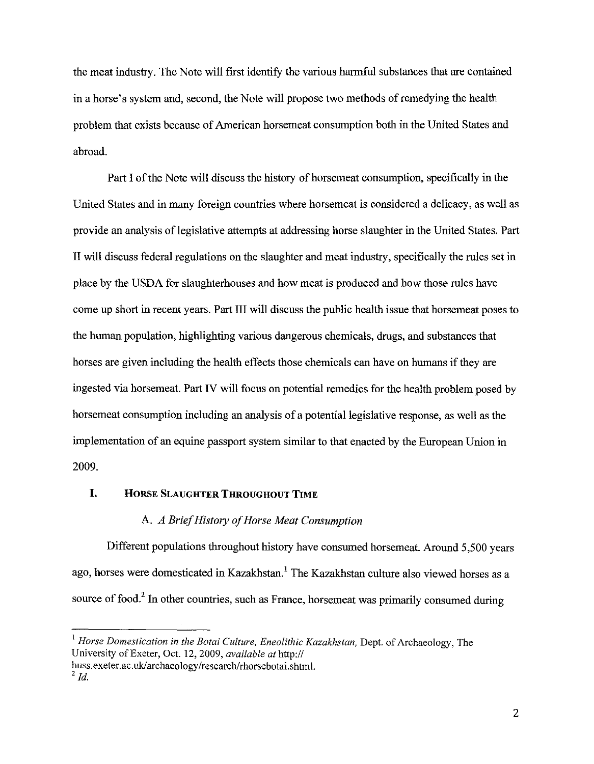the meat industry. The Note will first identify the various harmful substances that are contained in a horse's system and, second, the Note will propose two methods of remedying the health problem that exists because of American horsemeat consumption both in the United States and abroad.

Part I of the Note will discuss the history of horsemeat consumption, specifically in the United States and in many foreign countries where horsemeat is considered a delicacy, as well as provide an analysis of legislative attempts at addressing horse slaughter in the United States. Part II will discuss federal regulations on the slaughter and meat industry, specifically the rules set in place by the USDA for slaughterhouses and how meat is produced and how those rules have come up short in recent years. Part III will discuss the public health issue that horsemeat poses to the human population, highlighting various dangerous chemicals, drugs, and substances that horses are given including the health effects those chemicals can have on humans if they are ingested via horsemeat. Part IV will focus on potential remedies for the health problem posed by horsemeat consumption including an analysis of a potential legislative response, as well as the implementation of an equine passport system similar to that enacted by the European Union in 2009.

#### **I. HORSE SLAUGHTER THROUGHOUT TIME**

#### A. *A Brief History of Horse Meat Consumption*

Different populations throughout history have consumed horsemeat. Around 5,500 years ago, horses were domesticated in Kazakhstan.' The Kazakhstan culture also viewed horses as a source of food.<sup>2</sup> In other countries, such as France, horsemeat was primarily consumed during

<sup>&</sup>lt;sup>1</sup> Horse Domestication in the Botai Culture, Eneolithic Kazakhstan, Dept. of Archaeology, The University of Exeter, Oct. 12, 2009, *available at* http://

huss. exeter. ac. uk/ archaeology/ research/ rhorsebotai. shtml.  $^{2}$  *Id.*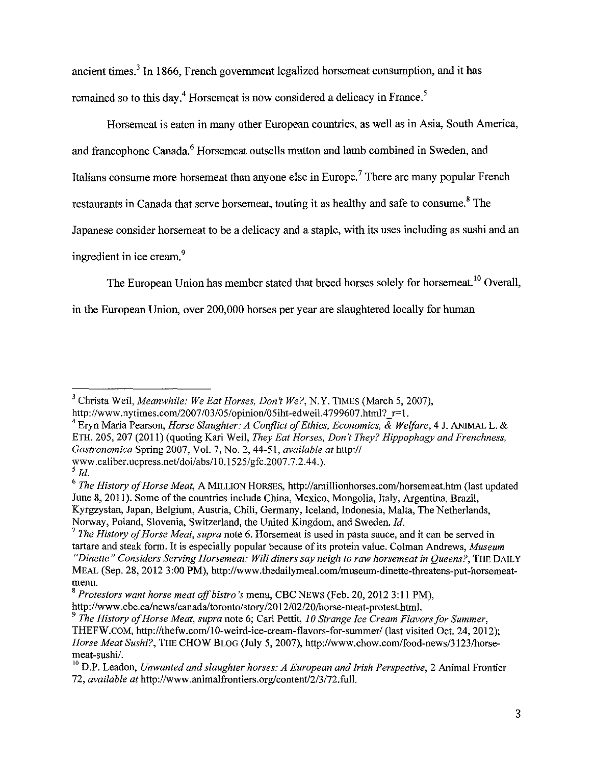ancient times.<sup>3</sup> In 1866, French government legalized horsemeat consumption, and it has remained so to this day.<sup>4</sup> Horsemeat is now considered a delicacy in France.<sup>5</sup>

Horsemeat is eaten in many other European countries, as well as in Asia, South America, and francophone Canada. 6 Horsemeat outsells mutton and lamb combined in Sweden, and Italians consume more horsemeat than anyone else in Europe.<sup>7</sup> There are many popular French restaurants in Canada that serve horsemeat, touting it as healthy and safe to consume.<sup>8</sup> The Japanese consider horsemeat to be a delicacy and a staple, with its uses including as sushi and an ingredient in ice cream. 9

The European Union has member stated that breed horses solely for horsemeat.<sup>10</sup> Overall,

in the European Union, over 200,000 horses per year are slaughtered locally for human

4 Eryn Maria Pearson, *Horse Slaughter: A Conflict of Ethics, Economics.* & *Welfare,* 4 J. ANIMAL L. & ETH. 205, 207 (2011) (quoting Kari Weil, *They Eat Horses, Don't They? Hippophagy and Frenchness, Gastronomica* Spring 2007, Vol. 7, No.2, 44-51, *available at http:!!*  www.caliber.ucpress.net/doi/abs/10.1525/gfc.2007.7.2.44.).

<sup>3</sup> Christa Wei!, *Meanwhile: We Eat Horses, Don't We?,* N.Y. TIMES (March 5, 2007), http://www.nytimes.com/2007/03/05/opinion/05iht-edweil.4799607.html?  $r=1$ .

 $\frac{5}{1}$  *Id.* 

<sup>6</sup>*The History of Horse Meat,* A MILLION HORSES, http://amillionhorses.com/horsemeat.htm (last updated June 8, 2011). Some of the countries include China, Mexico, Mongolia, Italy, Argentina, Brazil, Kyrgzystan, Japan, Belgium, Austria, Chili, Germany, Iceland, Indonesia, Malta, The Netherlands, Norway, Poland, Slovenia, Switzerland, the United Kingdom, and Sweden. *!d.* 

<sup>7</sup>*The History of Horse Meat, supra* note 6. Horsemeat is used in pasta sauce, and it can be served in tartare and steak form. It is especially popular because of its protein value. Colman Andrews, *Museum "Dinette" Considers Serving Horsemeat: Will diners say neigh to raw horsemeat in Queens?,* THE DAILY MEAL (Sep. 28, 2012 3:00 PM), http://www.thedailymeal.com/museum-dinette-threatens-put-horsemeatmenu.

<sup>8</sup>*Protestors want horse meat off bistro's* menu, CBC NEWS (Feb. 20, 2012 3: II PM),

http://www.cbc.ca/news/canada/toronto/story/2012/02/20/horse-meat-protest.html.

<sup>9</sup>*The History of Horse Meat, supra* note 6; Carl Pettit, *I 0 Strange Ice Cream Flavors for Summer,*  THEFW.COM, http://thefw.com/10-weird-ice-cream-flavors-for-summer/ (last visited Oct. 24, 2012); *Horse Meat Sushi?,* THE CHOW BLOG (July 5, 2007), http://www.chow.com/food-news/3123/horsemeat-sushi/.

<sup>&</sup>lt;sup>10</sup> D.P. Leadon, *Unwanted and slaughter horses: A European and Irish Perspective*, 2 Animal Frontier 72, *available at* http://www.animalfrontiers.org/content/2/3/72.full.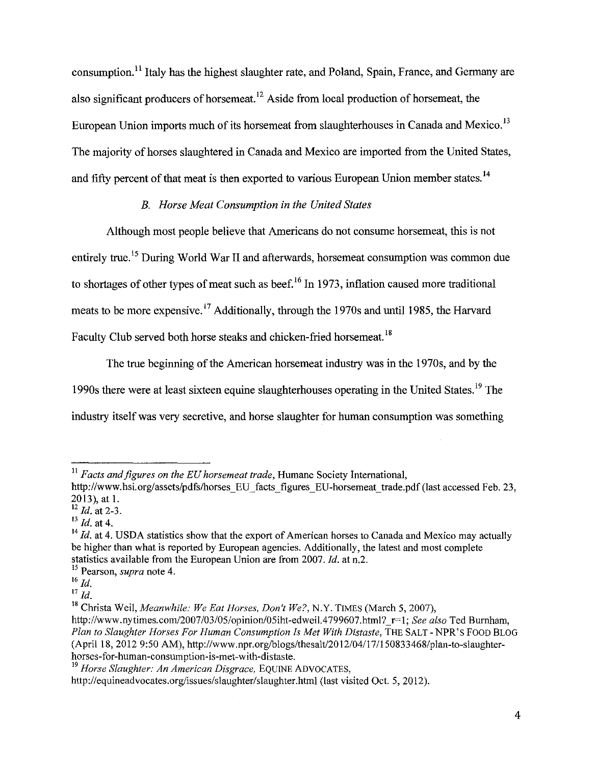consumption. 11 Italy has the highest slaughter rate, and Poland, Spain, France, and Germany are also significant producers of horsemeat. 12 Aside from local production of horsemeat, the European Union imports much of its horsemeat from slaughterhouses in Canada and Mexico. <sup>13</sup> The majority of horses slaughtered in Canada and Mexico are imported from the United States, and fifty percent of that meat is then exported to various European Union member states.<sup>14</sup>

#### *B. Horse Meat Consumption in the United States*

Although most people believe that Americans do not consume horsemeat, this is not entirely true. 15 During World War II and afterwards, horsemeat consumption was common due to shortages of other types of meat such as beef.<sup>16</sup> In 1973, inflation caused more traditional meats to be more expensive.<sup>17</sup> Additionally, through the 1970s and until 1985, the Harvard Faculty Club served both horse steaks and chicken-fried horsemeat.<sup>18</sup>

The true beginning of the American horsemeat industry was in the 1970s, and by the 1990s there were at least sixteen equine slaughterhouses operating in the United States.19 The industry itself was very secretive, and horse slaughter for human consumption was something

<sup>&</sup>lt;sup>11</sup> Facts and figures on the EU horsemeat trade, Humane Society International,

http://www.hsi.org/assets/pdfs/horses EU facts figures EU-horsemeat trade.pdf (last accessed Feb. 23, 2013), at 1.

<sup>12</sup>*Id.* at 2-3.

<sup>13</sup>*Id.* at 4.

<sup>&</sup>lt;sup>14</sup> Id. at 4. USDA statistics show that the export of American horses to Canada and Mexico may actually be higher than what is reported by European agencies. Additionally, the latest and most complete statistics available from the European Union are from 2007. *!d.* at n.2.

<sup>15</sup> Pearson, *supra* note 4.

<sup>16</sup>*Id.* 

 $^{17}$   $Id.$ 

<sup>&</sup>lt;sup>18</sup> Christa Weil, *Meanwhile: We Eat Horses, Don't We?*, N.Y. TIMES (March 5, 2007),

http://www.nytimes.com/2007/03/05/opinion/05iht-edweil.4799607.html?\_r=l; *See also* Ted Burnham, *Plan to Slaughter Horses For Human Consumption Is Met With Distaste,* THE SALT- NPR's FOOD BLOG (April 18, 2012 9:50 AM), http://www .npr.org/blogs/thesalt/20 12/04117 1150833468/plan-to-slaughterhorses-for-human-consumption-is-met-with-distaste.

<sup>&</sup>lt;sup>19</sup> Horse Slaughter: An American Disgrace, EQUINE ADVOCATES,

http://equineadvocates.org/issues/slaughter/slaughter.html (last visited Oct. 5, 2012).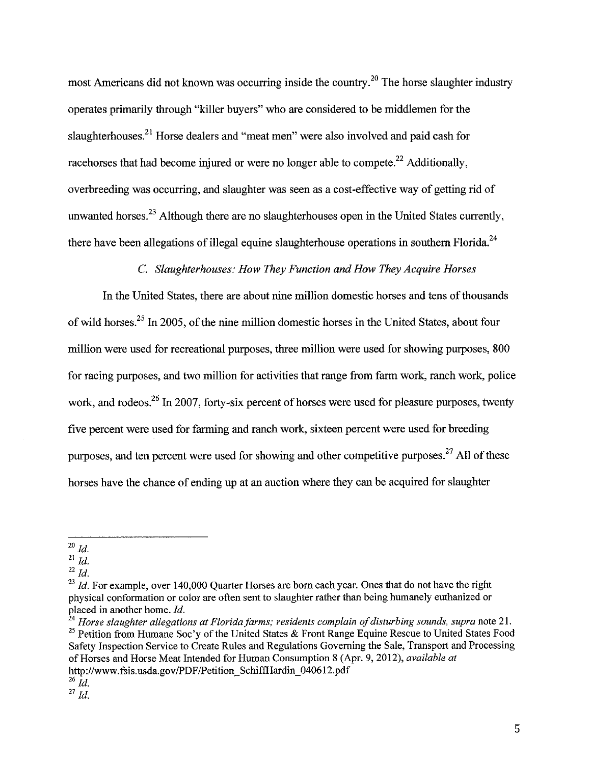most Americans did not known was occurring inside the country.<sup>20</sup> The horse slaughter industry operates primarily through "killer buyers" who are considered to be middlemen for the slaughterhouses.<sup>21</sup> Horse dealers and "meat men" were also involved and paid cash for racehorses that had become injured or were no longer able to compete.<sup>22</sup> Additionally, overbreeding was occurring, and slaughter was seen as a cost-effective way of getting rid of unwanted horses.<sup>23</sup> Although there are no slaughterhouses open in the United States currently, there have been allegations of illegal equine slaughterhouse operations in southern Florida.<sup>24</sup>

#### C. *Slaughterhouses: How They Function and How They Acquire Horses*

In the United States, there are about nine million domestic horses and tens of thousands of wild horses.25 In 2005, of the nine million domestic horses in the United States, about four million were used for recreational purposes, three million were used for showing purposes, 800 for racing purposes, and two million for activities that range from farm work, ranch work, police work, and rodeos.<sup>26</sup> In 2007, forty-six percent of horses were used for pleasure purposes, twenty five percent were used for farming and ranch work, sixteen percent were used for breeding purposes, and ten percent were used for showing and other competitive purposes.<sup>27</sup> All of these horses have the chance of ending up at an auction where they can be acquired for slaughter

<sup>24</sup> Horse slaughter allegations at Florida farms; residents complain of disturbing sounds, supra note 21. <sup>25</sup> Petition from Humane Soc'y of the United States  $\&$  Front Range Equine Rescue to United States Food Safety Inspection Service to Create Rules and Regulations Governing the Sale, Transport and Processing of Horses and Horse Meat Intended for Human Consumption 8 (Apr. 9, 2012), *available at*  http://www.fsis.usda.gov/PDF/Petition\_SchiffHardin\_040612.pdf

<sup>20</sup>*Id.* 

<sup>21</sup>*Id.* 

 $^{22}$  *Id.* 

 $^{23}$  Id. For example, over 140,000 Quarter Horses are born each year. Ones that do not have the right physical conformation or color are often sent to slaughter rather than being humanely euthanized or placed in another home. *Id.* 

 $^{26}$  Id.

 $^{27}$  $^{141}$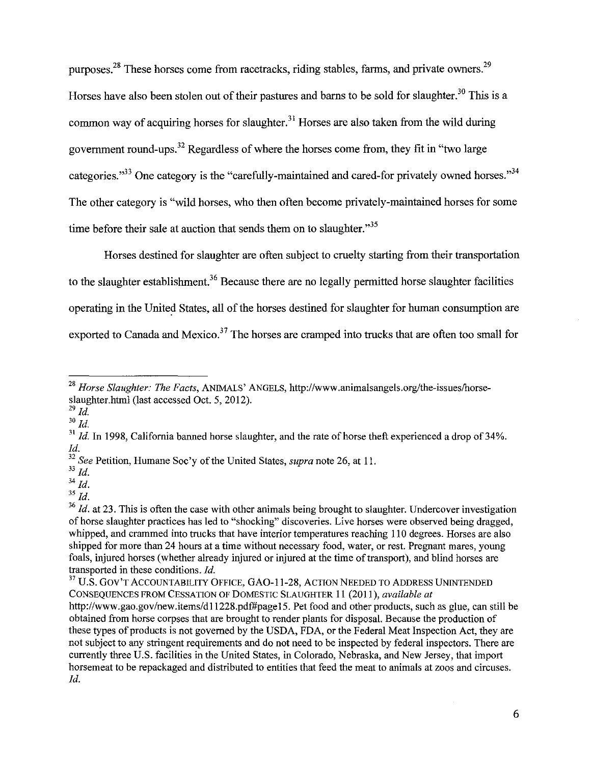purposes.<sup>28</sup> These horses come from racetracks, riding stables, farms, and private owners.<sup>29</sup> Horses have also been stolen out of their pastures and barns to be sold for slaughter.<sup>30</sup> This is a common way of acquiring horses for slaughter.<sup>31</sup> Horses are also taken from the wild during government round-ups.<sup>32</sup> Regardless of where the horses come from, they fit in "two large categories."33 One category is the "carefully-maintained and cared-for privately owned horses."34 The other category is "wild horses, who then often become privately-maintained horses for some time before their sale at auction that sends them on to slaughter."<sup>35</sup>

Horses destined for slaughter are often subject to cruelty starting from their transportation to the slaughter establishment.<sup>36</sup> Because there are no legally permitted horse slaughter facilities operating in the United States, all of the horses destined for slaughter for human consumption are exported to Canada and Mexico.<sup>37</sup> The horses are cramped into trucks that are often too small for

 $^{29}$  *Id.* 

 $30$   $\overline{Id}$ .

 $34$   $Id.$  $35$   $\overline{Id}$ .

<sup>28</sup>*Horse Slaughter: The Facts,* ANIMALS' ANGELS, http://www.animalsangels.org/the-issues/horseslaughter.html (last accessed Oct. 5, 2012).

 $31$  *Id.* In 1998, California banned horse slaughter, and the rate of horse theft experienced a drop of 34%. *!d.* 

<sup>32</sup>*See* Petition, Humane Soc 'y of the United States, *supra* note 26, at 11.

<sup>33</sup>*!d.* 

<sup>&</sup>lt;sup>36</sup> *Id.* at 23. This is often the case with other animals being brought to slaughter. Undercover investigation of horse slaughter practices has led to "shocking" discoveries. Live horses were observed being dragged, whipped, and crammed into trucks that have interior temperatures reaching 110 degrees. Horses are also shipped for more than 24 hours at a time without necessary food, water, or rest. Pregnant mares, young foals, injured horses (whether already injured or injured at the time of transport), and blind horses are transported in these conditions.  $Id$ .

 $37$  U.S. GOV'T ACCOUNTABILITY OFFICE, GAO-11-28, ACTION NEEDED TO ADDRESS UNINTENDED CONSEQUENCES FROM CESSATION OF DOMESTIC SLAUGHTER II (2011 ), *available at*  http://www.gao.gov/new.items/dll228.pdf#pagel5. Pet food and other products, such as glue, can still be obtained from horse corpses that are brought to render plants for disposal. Because the production of these types of products is not governed by the USDA, FDA, or the Federal Meat Inspection Act, they are not subject to any stringent requirements and do not need to be inspected by federal inspectors. There are currently three U.S. facilities in the United States, in Colorado, Nebraska, and New Jersey, that import horsemeat to be repackaged and distributed to entities that feed the meat to animals at zoos and circuses. *!d.*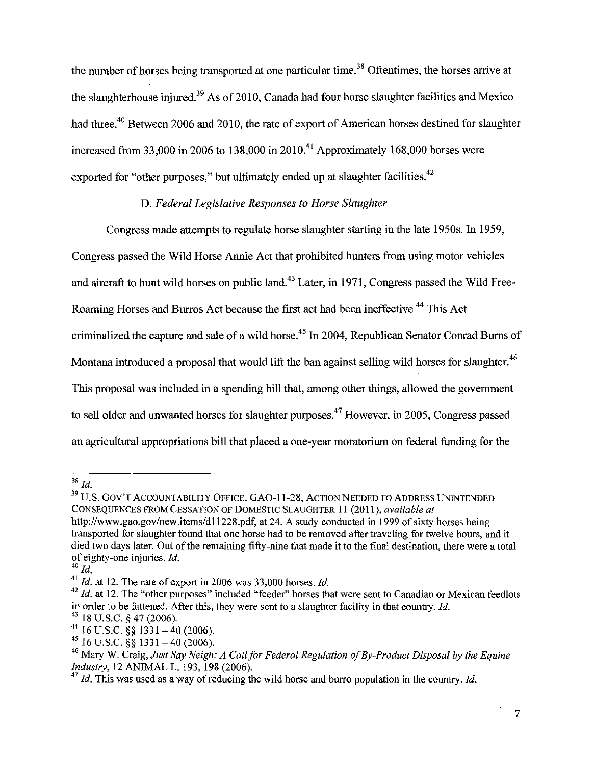the number of horses being transported at one particular time.<sup>38</sup> Oftentimes, the horses arrive at the slaughterhouse injured.<sup>39</sup> As of 2010, Canada had four horse slaughter facilities and Mexico had three.<sup>40</sup> Between 2006 and 2010, the rate of export of American horses destined for slaughter increased from 33,000 in 2006 to 138,000 in 2010.<sup>41</sup> Approximately 168,000 horses were exported for "other purposes," but ultimately ended up at slaughter facilities.<sup>42</sup>

#### D. *Federal Legislative Responses to Horse Slaughter*

Congress made attempts to regulate horse slaughter starting in the late 1950s. In 1959, Congress passed the Wild Horse Annie Act that prohibited hunters from using motor vehicles and aircraft to hunt wild horses on public land.<sup>43</sup> Later, in 1971, Congress passed the Wild Free-Roaming Horses and Burros Act because the first act had been ineffective.44 This Act criminalized the capture and sale of a wild horse.<sup>45</sup> In 2004, Republican Senator Conrad Burns of Montana introduced a proposal that would lift the ban against selling wild horses for slaughter.<sup>46</sup> This proposal was included in a spending bill that, among other things, allowed the government to sell older and unwanted horses for slaughter purposes.<sup>47</sup> However, in 2005, Congress passed an agricultural appropriations bill that placed a one-year moratorium on federal funding for the

 $^{38}\,$   $ld.$ 

<sup>&</sup>lt;sup>39</sup> U.S. GOV'T ACCOUNTABILITY OFFICE, GAO-11-28, ACTION NEEDED TO ADDRESS UNINTENDED CONSEQUENCES FROM CESSATION OF DOMESTIC SLAUGHTER 11 (2011), *available at*  http://www.gao.gov/new.items/d11228.pdf, at 24. A study conducted in 1999 of sixty horses being transported for slaughter found that one horse had to be removed after traveling for twelve hours, and it died two days later. Out of the remaining fifty-nine that made it to the final destination, there were a total of eighty-one injuries. *Id.* 

 $^{40}$  *Id.* 

<sup>&</sup>lt;sup>41</sup> *Id.* at 12. The rate of export in 2006 was 33,000 horses. *Id.* 

<sup>&</sup>lt;sup>42</sup> Id. at 12. The "other purposes" included "feeder" horses that were sent to Canadian or Mexican feedlots in order to be fattened. After this, they were sent to a slaughter facility in that country. *!d.* 

<sup>&</sup>lt;sup>43</sup> 18 U.S.C. § 47 (2006).

 $44$  16 U.S.C. §§ 1331 - 40 (2006).

 $45$  16 U.S.C. §§ 1331 - 40 (2006).

<sup>46</sup> Mary W. Craig, *Just Say Neigh: A Call for Federal Regulation of By-Product Disposal by the Equine Industry,* 12 ANIMAL L. 193, 198 (2006).

 $^{47}$  *Id.* This was used as a way of reducing the wild horse and burro population in the country. *Id.*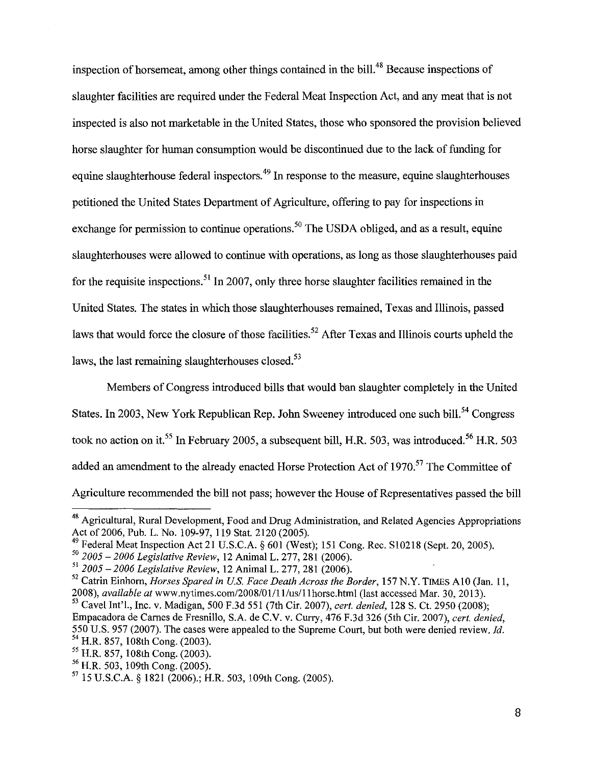inspection of horsemeat, among other things contained in the bill.<sup>48</sup> Because inspections of slaughter facilities are required under the Federal Meat Inspection Act, and any meat that is not inspected is also not marketable in the United States, those who sponsored the provision believed horse slaughter for human consumption would be discontinued due to the lack of funding for equine slaughterhouse federal inspectors.<sup>49</sup> In response to the measure, equine slaughterhouses petitioned the United States Department of Agriculture, offering to pay for inspections in exchange for permission to continue operations.<sup>50</sup> The USDA obliged, and as a result, equine slaughterhouses were allowed to continue with operations, as long as those slaughterhouses paid for the requisite inspections.<sup>51</sup> In 2007, only three horse slaughter facilities remained in the United States. The states in which those slaughterhouses remained, Texas and Illinois, passed laws that would force the closure of those facilities.<sup>52</sup> After Texas and Illinois courts upheld the laws, the last remaining slaughterhouses closed.<sup>53</sup>

Members of Congress introduced bills that would ban slaughter completely in the United States. In 2003, New York Republican Rep. John Sweeney introduced one such bill.<sup>54</sup> Congress took no action on it.<sup>55</sup> In February 2005, a subsequent bill, H.R. 503, was introduced.<sup>56</sup> H.R. 503 added an amendment to the already enacted Horse Protection Act of 1970.<sup>57</sup> The Committee of Agriculture recommended the bill not pass; however the House of Representatives passed the bill

<sup>48</sup> Agricultural, Rural Development, Food and Drug Administration, and Related Agencies Appropriations Act of 2006, Pub. L. No. 109-97, 119 Stat. 2120 (2005).

<sup>49</sup> Federal Meat Inspection Act 21 U.S.C.A. § 601 (West); 151 Cong. Rec. S10218 (Sept. 20, 2005).

<sup>50</sup>*2005-2006 Legislative Review,* 12 Animal L. 277, 281 (2006).

<sup>51</sup>*2005-2006 Legislative Review,* 12 Animal L. 277, 281 (2006).

<sup>&</sup>lt;sup>52</sup> Catrin Einhorn, *Horses Spared in U.S. Face Death Across the Border*, 157 N.Y. TIMES A10 (Jan. 11, 2008), *available at* www.nytimes.com/2008/01/11/us/11horse.html (last accessed Mar. 30, 2013).

<sup>53</sup> Cave! Int'l., Inc. v. Madigan, 500 F.3d 551 (7th Cir. 2007), *cert. denied,* 128 S. Ct. 2950 (2008); Empacadora de Carnes de Fresnillo, S.A. de C.V. v. Curry, 476 F.3d 326 (5th Cir. 2007), *cert. denied,*  550 U.S. 957 (2007). The cases were appealed to the Supreme Court, but both were denied review. Jd. 54 H.R. 857, 108th Cong. (2003).

<sup>&</sup>lt;sup>55</sup> H.R. 857, 108th Cong. (2003).<br><sup>56</sup> H.R. 503, 109th Cong. (2005).

<sup>57 15</sup> U.S.C.A. § 1821 (2006).; H.R. 503, 109th Cong. (2005).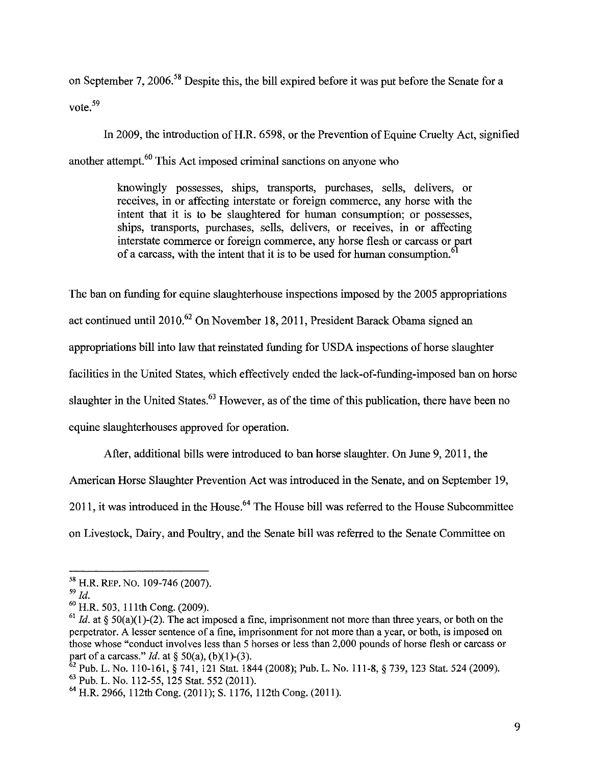on September 7, 2006.<sup>58</sup> Despite this, the bill expired before it was put before the Senate for a vote.<sup>59</sup>

In 2009, the introduction of H.R. 6598, or the Prevention of Equine Cruelty Act, signified another attempt.<sup>60</sup> This Act imposed criminal sanctions on anyone who

> knowingly possesses, ships, transports, purchases, sells, delivers, or receives, in or affecting interstate or foreign commerce, any horse with the intent that it is to be slaughtered for human consumption; or possesses, ships, transports, purchases, sells, delivers, or receives, in or affecting interstate commerce or foreign commerce, any horse flesh or carcass or gart of a carcass, with the intent that it is to be used for human consumption.<sup>61</sup>

The ban on funding for equine slaughterhouse inspections imposed by the 2005 appropriations act continued until2010.62 On November 18,2011, President Barack Obama signed an appropriations bill into law that reinstated funding for USDA inspections of horse slaughter facilities in the United States, which effectively ended the lack-of-funding-imposed ban on horse slaughter in the United States.<sup>63</sup> However, as of the time of this publication, there have been no equine slaughterhouses approved for operation.

After, additional bills were introduced to ban horse slaughter. On June 9, 2011, the

American Horse Slaughter Prevention Act was introduced in the Senate, and on September 19,

2011, it was introduced in the House.<sup>64</sup> The House bill was referred to the House Subcommittee

on Livestock, Dairy, and Poultry, and the Senate bill was referred to the Senate Committee on

 $\frac{62}{52}$  Pub. L. No. 110-161, § 741, 121 Stat. 1844 (2008); Pub. L. No. 111-8, § 739, 123 Stat. 524 (2009).

*<sup>58</sup>*H.R. REP. No. 109-746 (2007).

<sup>59</sup>*Id.* 

 $^{60}$  H.R. 503, 111th Cong. (2009).

 $\frac{61}{1d}$ . at § 50(a)(1)-(2). The act imposed a fine, imprisonment not more than three years, or both on the perpetrator. A lesser sentence of a fine, imprisonment for not more than a year, or both, is imposed on those whose "conduct involves less than 5 horses or less than 2,000 pounds of horse flesh or carcass or part of a carcass." *Id.* at § 50(a), (b)(1)-(3).

<sup>63</sup> Pub. L. No. 112-55, 125 Stat. 552 (2011).

<sup>&</sup>lt;sup>64</sup> H.R. 2966, 112th Cong. (2011): S. 1176, 112th Cong. (2011).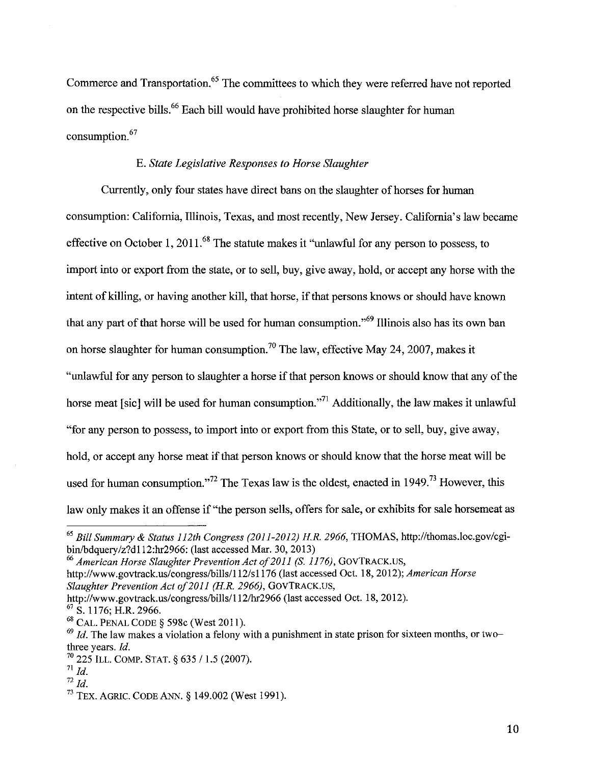Commerce and Transportation.<sup>65</sup> The committees to which they were referred have not reported on the respective bills. 66 Each bill would have prohibited horse slaughter for human consumption. <sup>67</sup>

#### E. *State Legislative Responses to Horse Slaughter*

Currently, only four states have direct bans on the slaughter of horses for human consumption: California, Illinois, Texas, and most recently, New Jersey. California's law became effective on October 1, 2011.<sup>68</sup> The statute makes it "unlawful for any person to possess, to import into or export from the state, or to sell, buy, give away, hold, or accept any horse with the intent of killing, or having another kill, that horse, if that persons knows or should have known that any part of that horse will be used for human consumption."69 Illinois also has its own ban on horse slaughter for human consumption.<sup>70</sup> The law, effective May 24, 2007, makes it "unlawful for any person to slaughter a horse if that person knows or should know that any of the horse meat [sic] will be used for human consumption."<sup>71</sup> Additionally, the law makes it unlawful "for any person to possess, to import into or export from this State, or to sell, buy, give away, hold, or accept any horse meat if that person knows or should know that the horse meat will be used for human consumption."<sup>72</sup> The Texas law is the oldest, enacted in 1949.<sup>73</sup> However, this law only makes it an offense if "the person sells, offers for sale, or exhibits for sale horsemeat as

<sup>65</sup>*Bill Summary* & *Status I 12th Congress (2011-2012) H.R. 2966,* THOMAS, http://thomas.loc.gov/cgibin/bdquery/z?d112:hr2966: (last accessed Mar. 30, 2013)

<sup>&</sup>lt;sup>66</sup> American Horse Slaughter Prevention Act of 2011 (S. 1176), GOVTRACK.US, http://www.govtrack.us/congress/bills/112/s1176 (last accessed Oct. 18, 2012); *American Horse Slaughter Prevention Act of2011 (H.R. 2966),* GOVTRACK.US,

http://www.govtrack.us/congress/bills/112/hr2966 (last accessed Oct. 18, 2012).

 $67$  S. 1176; H.R. 2966.

<sup>&</sup>lt;sup>68</sup> CAL. PENAL CODE § 598c (West 2011).

 $^{69}$  *Id.* The law makes a violation a felony with a punishment in state prison for sixteen months, or twothree years. *Id.* 

 $^{70}$  225 ILL. COMP. STAT. § 635 / 1.5 (2007).

 $11$  *Id.* 

 $^{72}$  *Id.* 

<sup>73</sup> TEX. AGRIC. CODE ANN.§ 149.002 (West 1991).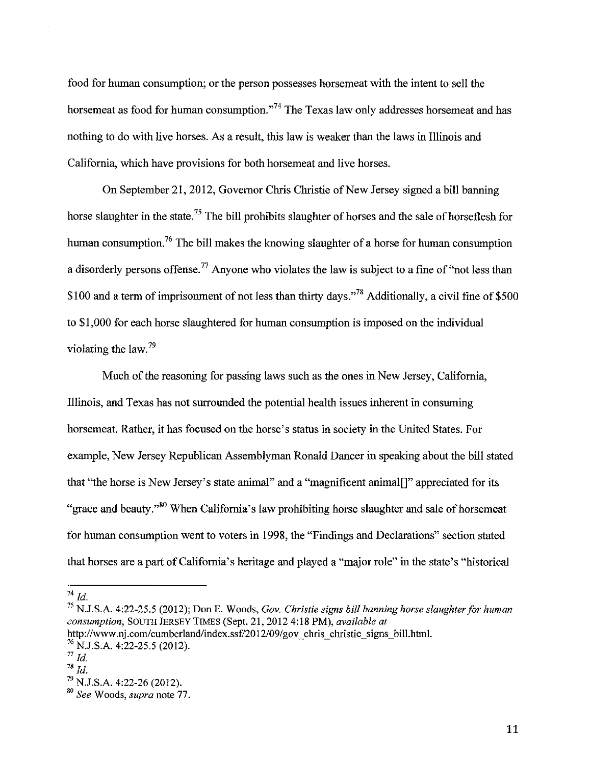food for human consumption; or the person possesses horsemeat with the intent to sell the horsemeat as food for human consumption."<sup>74</sup> The Texas law only addresses horsemeat and has nothing to do with live horses. As a result, this law is weaker than the laws in Illinois and California, which have provisions for both horsemeat and live horses.

On September 21,2012, Governor Chris Christie of New Jersey signed a bill banning horse slaughter in the state.<sup>75</sup> The bill prohibits slaughter of horses and the sale of horseflesh for human consumption.<sup>76</sup> The bill makes the knowing slaughter of a horse for human consumption a disorderly persons offense.<sup>77</sup> Anyone who violates the law is subject to a fine of "not less than \$100 and a term of imprisonment of not less than thirty days.<sup> $78$ </sup> Additionally, a civil fine of \$500 to \$1,000 for each horse slaughtered for human consumption is imposed on the individual violating the law.<sup>79</sup>

Much of the reasoning for passing laws such as the ones in New Jersey, California, Illinois, and Texas has not surrounded the potential health issues inherent in consuming horsemeat. Rather, it has focused on the horse's status in society in the United States. For example, New Jersey Republican Assemblyman Ronald Dancer in speaking about the bill stated that "the horse is New Jersey's state animal" and a "magnificent animal[]" appreciated for its "grace and beauty."<sup>80</sup> When California's law prohibiting horse slaughter and sale of horsemeat for human consumption went to voters in 1998, the "Findings and Declarations" section stated that horses are a part of California's heritage and played a "major role" in the state's "historical

<sup>74</sup>*Id.* 

<sup>75</sup> N.J.S.A. 4:22-25.5 (2012); Don E. Woods, *Gov. Christie signs bill banning horse slaughter for human consumption,* SOUTH JERSEY TIMES (Sept. 21, 2012 4:18PM), *available at*  http://www .nj .com/cumberland/index.ssf/20 12/09/gov chris christie signs bill.html.

 $^{76}$  N.J.S.A. 4:22-25.5 (2012).

 $^{77}$  *Id.* 

 $1^{78}$  *ld.* 

<sup>79</sup> N.J.S.A. 4:22-26 (2012).

<sup>80</sup>*See* Woods, *supra* note 77.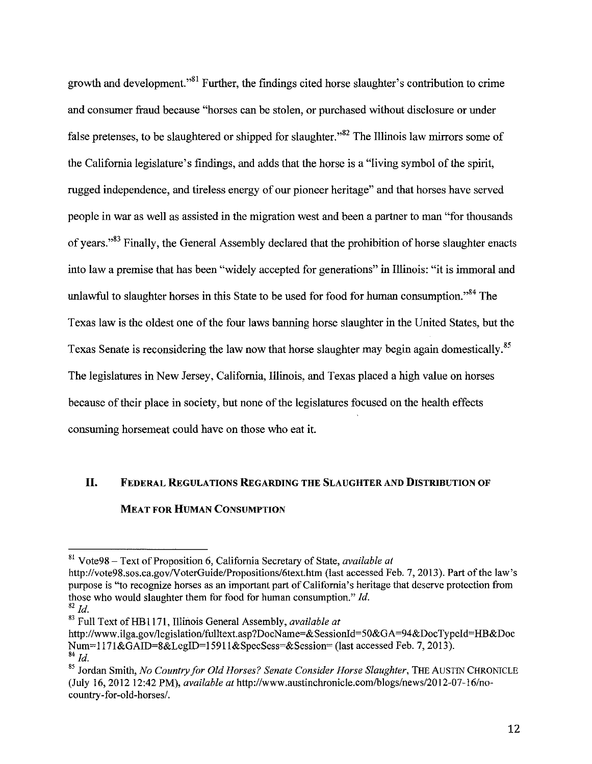growth and development."<sup>81</sup> Further, the findings cited horse slaughter's contribution to crime and consumer fraud because "horses can be stolen, or purchased without disclosure or under false pretenses, to be slaughtered or shipped for slaughter."<sup>82</sup> The Illinois law mirrors some of the California legislature's findings, and adds that the horse is a "living symbol of the spirit, rugged independence, and tireless energy of our pioneer heritage" and that horses have served people in war as well as assisted in the migration west and been a partner to man "for thousands of years."<sup>83</sup> Finally, the General Assembly declared that the prohibition of horse slaughter enacts into law a premise that has been "widely accepted for generations" in Illinois: "it is immoral and unlawful to slaughter horses in this State to be used for food for human consumption."<sup>84</sup> The Texas law is the oldest one of the four laws banning horse slaughter in the United States, but the Texas Senate is reconsidering the law now that horse slaughter may begin again domestically.<sup>85</sup> The legislatures in New Jersey, California, Illinois, and Texas placed a high value on horses because of their place in society, but none of the legislatures focused on the health effects consuming horsemeat could have on those who eat it.

## **II. FEDERAL REGULATIONS REGARDING THE SLAUGHTER AND DISTRIBUTION OF MEAT FOR HUMAN CONSUMPTION**

<sup>81</sup> Vote98- Text of Proposition 6, California Secretary of State, *available at* 

http://vote98.sos.ca.gov/VoterGuide/Propositions/6text.htm (last accessed Feb. 7, 2013). Part of the law's purpose is "to recognize horses as an important part of California's heritage that deserve protection from those who would slaughter them for food for human consumption." *Id.* 

 $82$  *Id.* 

<sup>&</sup>lt;sup>83</sup> Full Text of HB1171, Illinois General Assembly, *available at* 

http://www.ilga.gov/legislation/fulltext.asp?DocName=&SessionId=50&GA=94&DocTypeId=HB&Doc Num=117l&GAID=8&LegiD=15911&SpecSess=&Session= (last accessed Feb. 7, 2013).  $84$   $H$ 

<sup>&</sup>lt;sup>85</sup> Jordan Smith, *No Country for Old Horses? Senate Consider Horse Slaughter*, THE AUSTIN CHRONICLE (July 16, 2012 12:42 PM), *available at* http://www .austinchronicle.com/blogs/news/20 12-07-16/nocountry-for-old-horses/.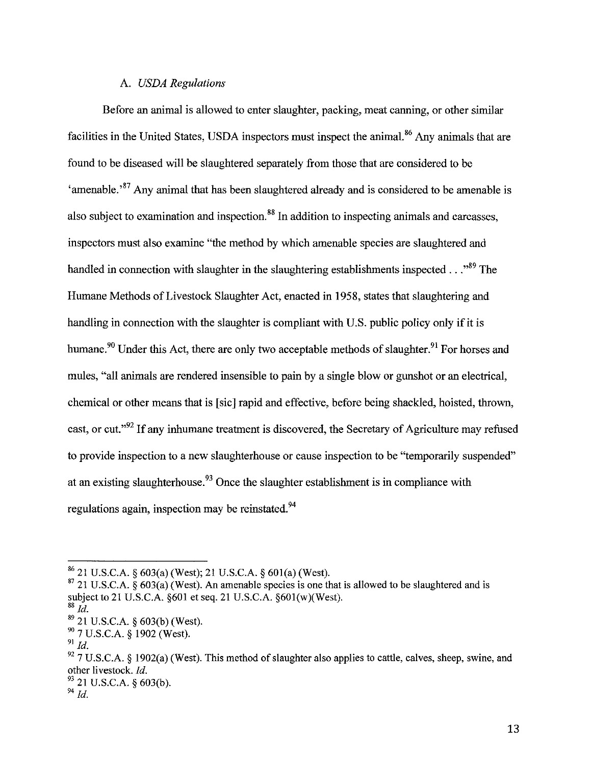#### A. *USDA Regulations*

Before an animal is allowed to enter slaughter, packing, meat canning, or other similar facilities in the United States, USDA inspectors must inspect the animal.<sup>86</sup> Any animals that are found to be diseased will be slaughtered separately from those that are considered to be 'amenable.<sup>87</sup> Any animal that has been slaughtered already and is considered to be amenable is also subject to examination and inspection.<sup>88</sup> In addition to inspecting animals and carcasses, inspectors must also examine "the method by which amenable species are slaughtered and handled in connection with slaughter in the slaughtering establishments inspected  $\ldots$ <sup>89</sup>. The Humane Methods of Livestock Slaughter Act, enacted in 1958, states that slaughtering and handling in connection with the slaughter is compliant with U.S. public policy only if it is humane.<sup>90</sup> Under this Act, there are only two acceptable methods of slaughter.<sup>91</sup> For horses and mules, "all animals are rendered insensible to pain by a single blow or gunshot or an electrical, chemical or other means that is [sic] rapid and effective, before being shackled, hoisted, thrown, cast, or cut."92 If any inhumane treatment is discovered, the Secretary of Agriculture may refused to provide inspection to a new slaughterhouse or cause inspection to be "temporarily suspended" at an existing slaughterhouse.<sup>93</sup> Once the slaughter establishment is in compliance with regulations again, inspection may be reinstated.<sup>94</sup>

 $\frac{86}{21}$  U.S.C.A. § 603(a) (West); 21 U.S.C.A. § 601(a) (West).

 $87$  21 U.S.C.A. § 603(a) (West). An amenable species is one that is allowed to be slaughtered and is subject to 21 U.S.C.A. §601 et seq. 21 U.S.C.A. §601(w)(West).

 $88$   $\overline{ld}$ .

<sup>89 21</sup> U.S.C.A. § 603(b) (West).

<sup>&</sup>lt;sup>90</sup> 7 U.S.C.A. § 1902 (West).<br><sup>91</sup> *M* 

 $92$  7 U.S.C.A. § 1902(a) (West). This method of slaughter also applies to cattle, calves, sheep, swine, and other livestock. *!d.* 

 $93$  21 U.S.C.A. § 603(b).

<sup>94</sup>*!d.*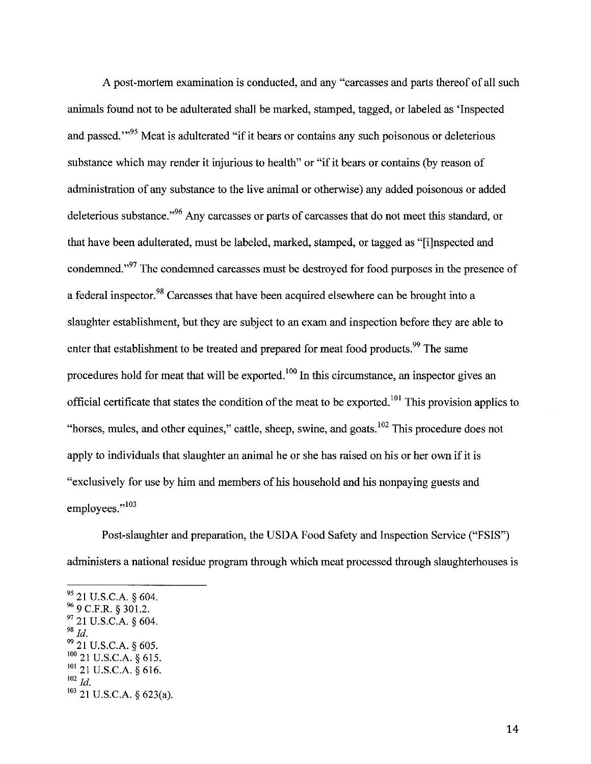A post-mortem examination is conducted, and any "carcasses and parts thereof of all such animals found not to be adulterated shall be marked, stamped, tagged, or labeled as 'Inspected and passed."<sup>95</sup> Meat is adulterated "if it bears or contains any such poisonous or deleterious substance which may render it injurious to health" or "if it bears or contains (by reason of administration of any substance to the live animal or otherwise) any added poisonous or added deleterious substance.<sup>"96</sup> Any carcasses or parts of carcasses that do not meet this standard, or that have been adulterated, must be labeled, marked, stamped, or tagged as "[i]nspected and condemned."<sup>97</sup> The condemned carcasses must be destroyed for food purposes in the presence of a federal inspector.<sup>98</sup> Carcasses that have been acquired elsewhere can be brought into a slaughter establishment, but they are subject to an exam and inspection before they are able to enter that establishment to be treated and prepared for meat food products.<sup>99</sup> The same procedures hold for meat that will be exported. 100 In this circumstance, an inspector gives an official certificate that states the condition of the meat to be exported.<sup>101</sup> This provision applies to "horses, mules, and other equines," cattle, sheep, swine, and goats,  $^{102}$  This procedure does not apply to individuals that slaughter an animal he or she has raised on his or her own if it is "exclusively for use by him and members of his household and his nonpaying guests and employees."103

Post-slaughter and preparation, the USDA Food Safety and Inspection Service ("FSIS") administers a national residue program through which meat processed through slaughterhouses is

 $95$  21 U.S.C.A. § 604.  $96$  9 C.F.R. § 301.2.  $97$  21 U.S.C.A. § 604. <sup>98</sup>*!d.*  99 21 U.S.C.A. § 605. 100 21 U.S.C.A. § 615.  $^{101}$  21 U.S.C.A. § 616. <sup>102</sup>*!d.* 

 $103$  21 U.S.C.A. § 623(a).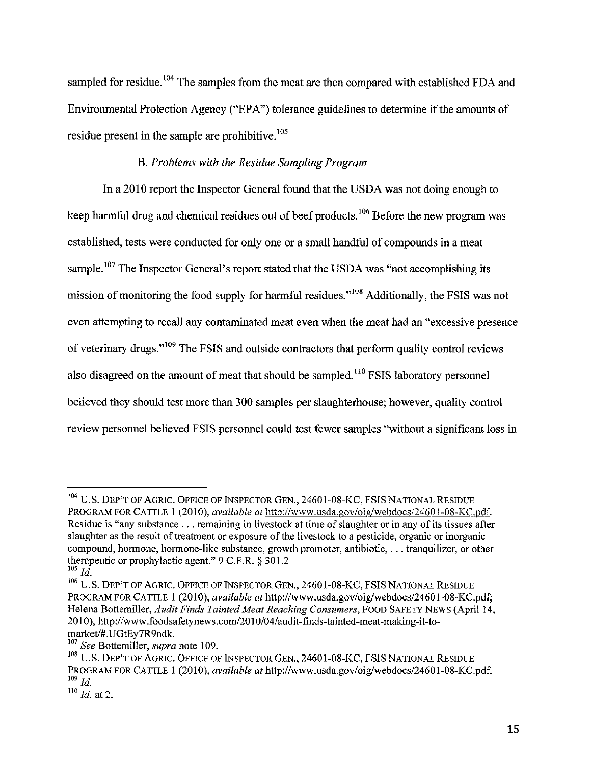sampled for residue.<sup>104</sup> The samples from the meat are then compared with established FDA and Environmental Protection Agency ("EPA") tolerance guidelines to determine if the amounts of residue present in the sample are prohibitive.<sup>105</sup>

#### B. *Problems with the Residue Sampling Program*

In a 2010 report the Inspector General found that the USDA was not doing enough to keep harmful drug and chemical residues out of beef products.  $106$  Before the new program was established, tests were conducted for only one or a small handful of compounds in a meat sample.<sup>107</sup> The Inspector General's report stated that the USDA was "not accomplishing its mission of monitoring the food supply for harmful residues."<sup>108</sup> Additionally, the FSIS was not even attempting to recall any contaminated meat even when the meat had an "excessive presence of veterinary drugs."109 The FSIS and outside contractors that perform quality control reviews also disagreed on the amount of meat that should be sampled.<sup>110</sup> FSIS laboratory personnel believed they should test more than 300 samples per slaughterhouse; however, quality control review personnel believed FSIS personnel could test fewer samples "without a significant loss in

<sup>104</sup> U.S. DEP'T OF AGRIC. OFFICE OF INSPECTOR GEN., 24601-08-KC, FSIS NATIONAL RESIDUE PROGRAM FOR CATTLE 1 (2010), *available at* http://www.usda.gov/oig/webdocs/2460 l-08-KC.pdf. Residue is "any substance ... remaining in livestock at time of slaughter or in any of its tissues after slaughter as the result of treatment or exposure of the livestock to a pesticide, organic or inorganic compound, hormone, hormone-like substance, growth promoter, antibiotic, ... tranquilizer, or other therapeutic or prophylactic agent." 9 C.P.R. § 301.2  $^{105}$  *Id.* 

<sup>106</sup> U.S. DEP'T OF AGRIC. OFFICE OF INSPECTOR GEN., 24601-08-KC, FSIS NATIONAL RESIDUE PROGRAM FOR CATTLE 1 (2010), *available at http://www.usda.gov/oig/webdocs/24601-08-KC.pdf*; Helena Bottemiller, *Audit Finds Tainted Meat Reaching Consumers*, FOOD SAFETY NEWS (April 14, 2010), http://www.foodsafetynews.com/2010/04/audit-finds-tainted-meat-making-it-tomarket/#.UGtEy7R9ndk.

<sup>107</sup>*See* Bottemiller, *supra* note 109.

<sup>&</sup>lt;sup>108</sup> U.S. DEP'T OF AGRIC. OFFICE OF INSPECTOR GEN., 24601-08-KC, FSIS NATIONAL RESIDUE PROGRAM FOR CATTLE 1 (2010), *available at* http://www.usda.gov/oig/webdocs/24601-08-KC.pdf.  $109$  *Id.* 

 $110$  *Id.* at 2.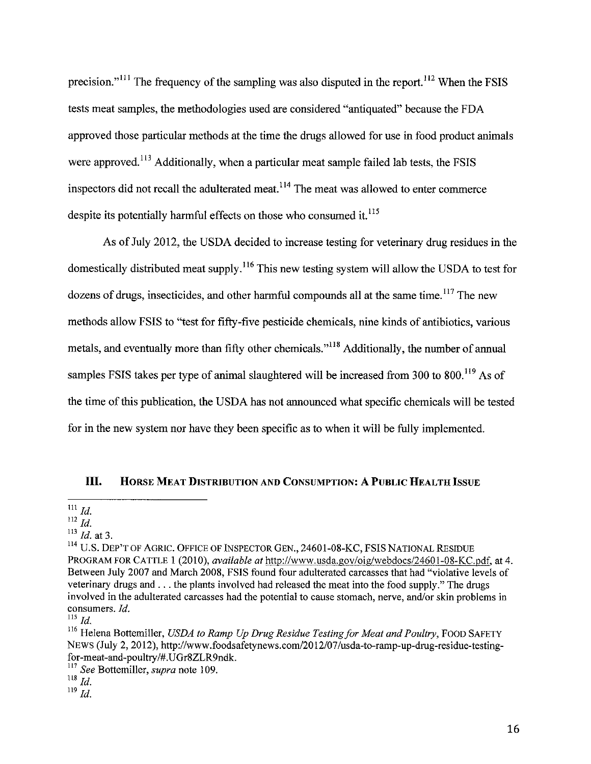precision."<sup> $111$ </sup> The frequency of the sampling was also disputed in the report.<sup> $112$ </sup> When the FSIS tests meat samples, the methodologies used are considered "antiquated" because the FDA approved those particular methods at the time the drugs allowed for use in food product animals were approved.<sup>113</sup> Additionally, when a particular meat sample failed lab tests, the FSIS inspectors did not recall the adulterated meat.<sup>114</sup> The meat was allowed to enter commerce despite its potentially harmful effects on those who consumed it.<sup>115</sup>

As of July 2012, the USDA decided to increase testing for veterinary drug residues in the domestically distributed meat supply.<sup>116</sup> This new testing system will allow the USDA to test for dozens of drugs, insecticides, and other harmful compounds all at the same time.<sup>117</sup> The new methods allow FSIS to "test for fifty-five pesticide chemicals, nine kinds of antibiotics, various metals, and eventually more than fifty other chemicals."<sup>118</sup> Additionally, the number of annual samples FSIS takes per type of animal slaughtered will be increased from 300 to 800.<sup>119</sup> As of the time of this publication, the USDA has not armounced what specific chemicals will be tested for in the new system nor have they been specific as to when it will be fully implemented.

#### Ill. HORSE MEAT DISTRIBUTION AND CONSUMPTION: A PUBLIC HEALTH ISSUE

<sup>113</sup> *Id.* at 3.

- ll7 *See* Bottemiller, *supra* note 109.
- $\int_{d}^{118}$  *Id.*

 $^{111}$  *Id.* 

 $^{112}$  *Id.* 

<sup>&</sup>lt;sup>114</sup> U.S. DEP'T OF AGRIC. OFFICE OF INSPECTOR GEN., 24601-08-KC, FSIS NATIONAL RESIDUE PROGRAM FOR CATILE I (2010), *available at* http://www.usda.gov/oig/webdocs/2460 1-08-KC.pdf, at 4. Between July 2007 and March 2008, PSIS found four adulterated carcasses that had "violative levels of veterinary drugs and ... the plants involved had released the meat into the food supply." The drugs involved in the adulterated carcasses had the potential to cause stomach, nerve, and/or skin problems in consumers. *Id.* 

 $^{115}$  *Id.* 

<sup>&</sup>lt;sup>116</sup> Helena Bottemiller, *USDA to Ramp Up Drug Residue Testing for Meat and Poultry*, FOOD SAFETY NEWS (July 2, 2012), http://www.foodsafetynews.com/20 12/07/usda-to-ramp-up-drug-residue-testingfor-meat-and-poultry/#.UGr8ZLR9ndk.

 $^{119}$   $\bar{Id}.$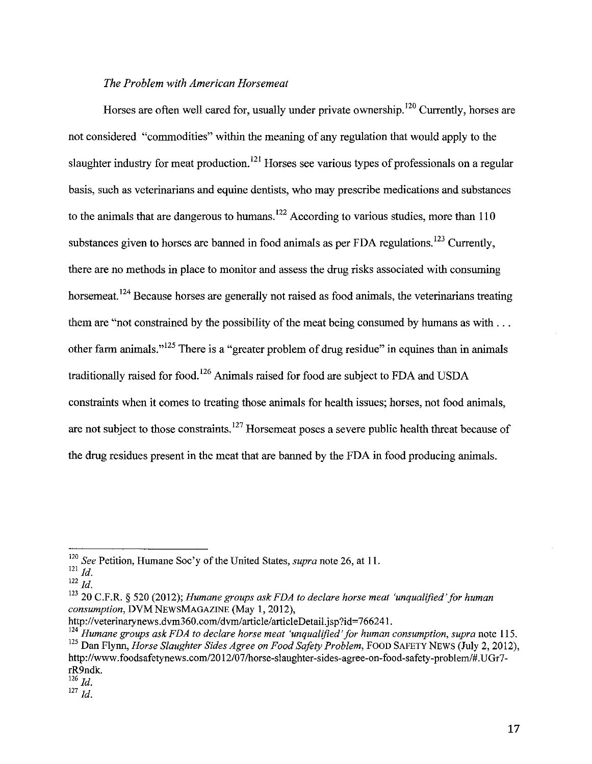#### *The Problem with American Horsemeat*

Horses are often well cared for, usually under private ownership.<sup>120</sup> Currently, horses are not considered "commodities" within the meaning of any regulation that would apply to the slaughter industry for meat production.<sup>121</sup> Horses see various types of professionals on a regular basis, such as veterinarians and equine dentists, who may prescribe medications and substances to the animals that are dangerous to humans.<sup>122</sup> According to various studies, more than  $110$ substances given to horses are banned in food animals as per FDA regulations.<sup>123</sup> Currently, there are no methods in place to monitor and assess the drug risks associated with consuming horsemeat.<sup>124</sup> Because horses are generally not raised as food animals, the veterinarians treating them are "not constrained by the possibility of the meat being consumed by humans as with ... other farm animals."<sup>125</sup> There is a "greater problem of drug residue" in equines than in animals traditionally raised for food. 126 Animals raised for food are subject to FDA and USDA constraints when it comes to treating those animals for health issues; horses, not food animals, are not subject to those constraints.  $127$  Horsemeat poses a severe public health threat because of the drug residues present in the meat that are banned by the FDA in food producing animals.

<sup>120</sup>*See* Petition, Humane Soc'y of the United States, *supra* note 26, at II.

 $121$  Id.

<sup>122</sup>*Id.* 

<sup>123 20</sup> C.F.R. § 520 (2012); *Humane groups ask FDA to declare horse meat 'unqualified 'for human consumption,* DVM NEWSMAGAZINE (May I, 2012),

http://veterinarynews.dvm360.com/dvm/article/articleDetail.jsp?id=766241.

<sup>124</sup>*Humane groups ask FDA to declare horse meat 'unqualified' for human consumption, supra* note 115. <sup>125</sup> Dan Flynn, *Horse Slaughter Sides Agree on Food Safety Problem*, FOOD SAFETY NEWS (July 2, 2012), http://www.foodsafetynews.com/2012/07/horse-slaughter-sides-agree-on-food-safety-problem/#.UGr7 rR9ndk.

 $126$  *Id.* 

<sup>127</sup>*Id.*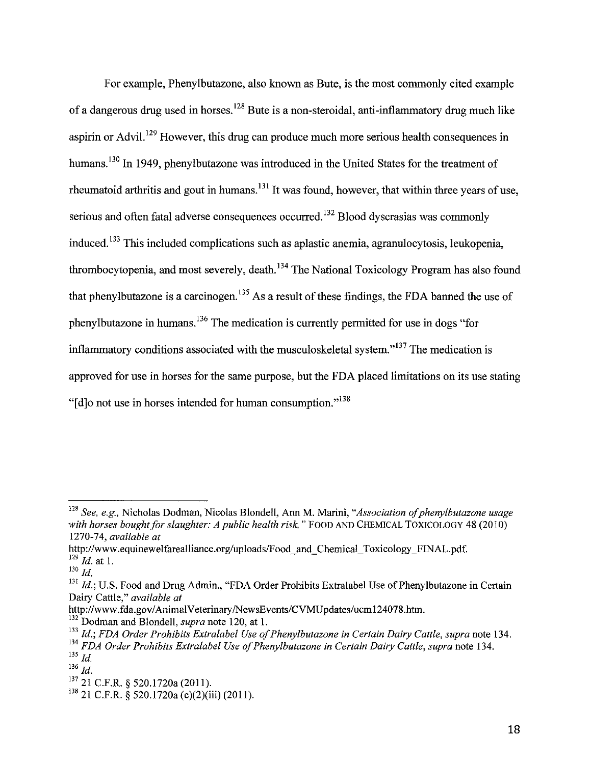For example, Phenylbutazone, also known as Bute, is the most commonly cited example of a dangerous drug used in horses. 128 Bute is a non-steroidal, anti-inflammatory drug much like aspirin or Advil.<sup>129</sup> However, this drug can produce much more serious health consequences in humans.<sup>130</sup> In 1949, phenylbutazone was introduced in the United States for the treatment of rheumatoid arthritis and gout in humans.<sup>131</sup> It was found, however, that within three years of use, serious and often fatal adverse consequences occurred.<sup>132</sup> Blood dyscrasias was commonly induced.  $133$  This included complications such as aplastic anemia, agranulocytosis, leukopenia, thrombocytopenia, and most severely, death.<sup>134</sup> The National Toxicology Program has also found that phenylbutazone is a carcinogen.<sup>135</sup> As a result of these findings, the FDA banned the use of phenylbutazone in humans. 136 The medication is currently permitted for use in dogs "for inflammatory conditions associated with the musculoskeletal system."<sup> $137$ </sup> The medication is approved for use in horses for the same purpose, but the FDA placed limitations on its use stating "[d]o not use in horses intended for human consumption."<sup>138</sup>

<sup>128</sup>*See, e.g.,* Nicholas Dodman, Nicolas Blondell, Ann M. Marini, *"Association of phenylbutazone usage with horses bought for slaughter: A public health risk,* " FOOD AND CHEMICAL TOXICOLOGY 48 (2010) 1270-74, *available at* 

http://www.equinewelfarealliance.org/uploads/Food and Chemical Toxicology FINAL. pdf. <sup>129</sup>*!d.* at I.

 $^{130}$   $Id.$ 

<sup>&</sup>lt;sup>131</sup> Id.; U.S. Food and Drug Admin., "FDA Order Prohibits Extralabel Use of Phenylbutazone in Certain Dairy Cattle," *available at* 

http://www.fda.gov/AnimalVeterinary/NewsEvents/CVMUpdates/ucm124078.htm.

<sup>132</sup> Dodman and Blondell, *supra* note 120, at I.

<sup>&</sup>lt;sup>133</sup> Id.: FDA Order Prohibits Extralabel Use of Phenylbutazone in Certain Dairy Cattle, supra note 134.

<sup>134</sup>*FDA Order Prohibits Extra/abel Use of Phenylbutazone in Certain Dairy Cattle, supra* note 134.  $135$  *Id.* 

<sup>136</sup>*!d.* 

 $^{137}_{12}$  21 C.F.R. § 520.1720a (2011).

 $138$  21 C.F.R. § 520.1720a (c)(2)(iii) (2011).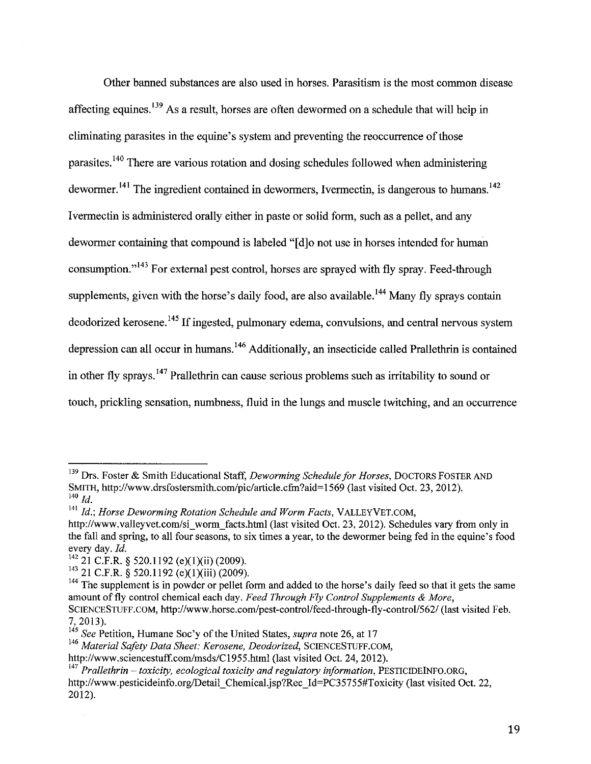Other banned substances are also used in horses. Parasitism is the most common disease affecting equines.  $139$  As a result, horses are often dewormed on a schedule that will help in eliminating parasites in the equine's system and preventing the reoccurrence of those parasites. 140 There are various rotation and dosing schedules followed when administering dewormer.<sup>141</sup> The ingredient contained in dewormers, Ivermectin, is dangerous to humans.<sup>142</sup> I vermectin is administered orally either in paste or solid form, such as a pellet, and any dewormer containing that compound is labeled "[d]o not use in horses intended for human consumption."<sup>143</sup> For external pest control, horses are sprayed with fly spray. Feed-through supplements, given with the horse's daily food, are also available.<sup>144</sup> Many fly sprays contain deodorized kerosene. 145 If ingested, pulmonary edema, convulsions, and central nervous system depression can all occur in humans.<sup>146</sup> Additionally, an insecticide called Prallethrin is contained in other fly sprays.<sup>147</sup> Prallethrin can cause serious problems such as irritability to sound or touch, prickling sensation, numbness, fluid in the lungs and muscle twitching, and an occurrence

J.

<sup>139</sup> Drs. Foster & Smith Educational Staff, *Deworming Schedule for Horses,* DOCTORS FOSTER AND SMITH, http://www.drsfostersmith.com/pic/article.cfin?aid=l569 (last visited Oct. 23, 2012).  $140$  *Id.* 

<sup>&</sup>lt;sup>141</sup> Id.; Horse Deworming Rotation Schedule and Worm Facts, VALLEYVET.COM,

http://www.valleyvet.com/si\_worm\_facts.html (last visited Oct. 23, 2012). Schedules vary from only in the fall and spring, to all four seasons, to six times a year, to the dewormer being fed in the equine's food every day. *Id.* 

 $142$  21 C.F.R. § 520.1192 (e)(1)(ii) (2009).

 $143$  21 C.F.R. § 520.1192 (e)(1)(iii) (2009).

<sup>&</sup>lt;sup>144</sup> The supplement is in powder or pellet form and added to the horse's daily feed so that it gets the same amount of fly control chemical each day. *Feed Through Fly Control Supplements* & *More,*  SCIENCESTUFF.COM, http://www.horse.com/pest-control/feed-through-fly-control/562/ (last visited Feb. 7, 2013).

<sup>145</sup>*See* Petition, Humane Soc 'y of the United States, *supra* note 26, at 17

<sup>146</sup>*Material Safety Data Sheet: Kerosene, Deodorized,* SCIENCESTUFF.COM,

http://www.sciencestuff.com/msds/C1955.html (last visited Oct. 24, 2012).

<sup>&</sup>lt;sup>147</sup> Prallethrin – toxicity, ecological toxicity and regulatory information, PESTICIDEINFO.ORG, http://www.pesticideinfo.org/Detail\_ Chemical.jsp?Rec \_Id=PC35755#Toxicity (last visited Oct. 22, 2012).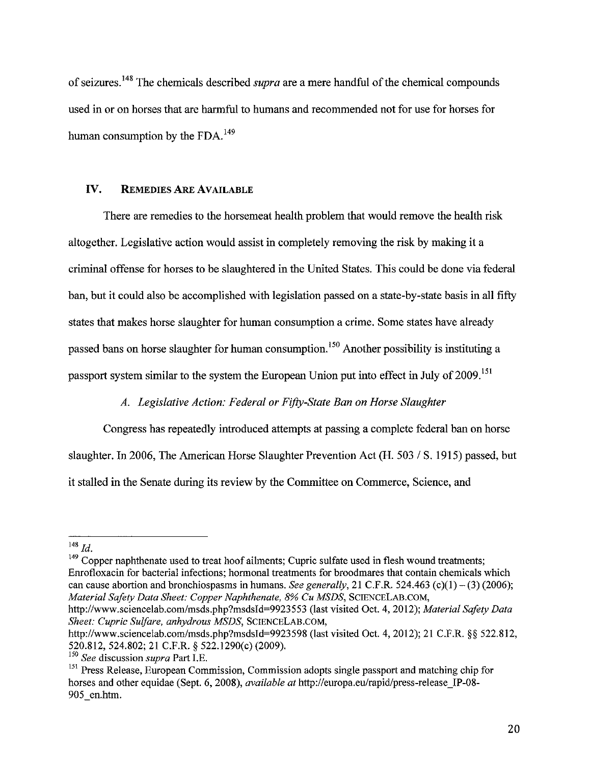of seizures. 148 The chemicals described *supra* are a mere handful of the chemical compounds used in or on horses that are harmful to humans and recommended not for use for horses for human consumption by the FDA.<sup>149</sup>

#### IV. REMEDIES ARE AVAILABLE

There are remedies to the horsemeat health problem that would remove the health risk altogether. Legislative action would assist in completely removing the risk by making it a criminal offense for horses to be slaughtered in the United States. This could be done via federal ban, but it could also be accomplished with legislation passed on a state-by-state basis in all fifty states that makes horse slaughter for human consumption a crime. Some states have already passed bans on horse slaughter for human consumption.<sup>150</sup> Another possibility is instituting a passport system similar to the system the European Union put into effect in July of 2009.<sup>151</sup>

#### *A. Legislative Action: Federal or Fifty-State Ban on Horse Slaughter*

Congress has repeatedly introduced attempts at passing a complete federal ban on horse slaughter. In 2006, The American Horse Slaughter Prevention Act  $(H. 503 / S. 1915)$  passed, but it stalled in the Senate during its review by the Committee on Commerce, Science, and

 $149$  Copper naphthenate used to treat hoof ailments; Cupric sulfate used in flesh wound treatments; Enrofloxacin for bacterial infections; hormonal treatments for broodmares that contain chemicals which can cause abortion and bronchiospasms in humans. *See generally*, 21 C.F.R. 524.463 (c)(1) – (3) (2006); *Material Safety Data Sheet: Copper Naphthenate, 8% Cu MSDS,* SCIENCELAB.COM,

http://www.sciencelab.com/msds.php?msdsld=9923553 (last visited Oct. 4, 2012); *Material Safety Data Sheet: Cupric Sulfare, anhydrous MSDS,* SCIENCELAB.COM,

<sup>148</sup>*Id.* 

http://www.sciencelab.com/msds.php?msdsId=9923598 (last visited Oct. 4, 2012); 21 C.F.R. §§ 522.812, 520.812, 524.802; 21 C.F.R. § 522.1290(c) (2009).

<sup>150</sup>*See* discussion *supra* Part I.E.

<sup>&</sup>lt;sup>151</sup> Press Release, European Commission, Commission adopts single passport and matching chip for horses and other equidae (Sept. 6, 2008), *available at* http://europa.eu/rapid/press-release\_IP-08- 905 en.htm.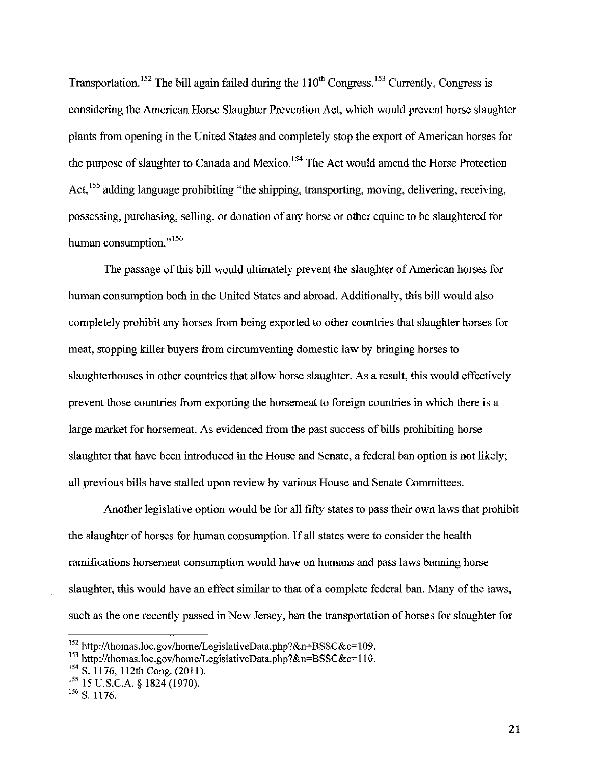Transportation.<sup>152</sup> The bill again failed during the  $110^{th}$  Congress.<sup>153</sup> Currently, Congress is considering the American Horse Slaughter Prevention Act, which would prevent horse slaughter plants from opening in the United States and completely stop the export of American horses for the purpose of slaughter to Canada and Mexico.<sup>154</sup> The Act would amend the Horse Protection Act, <sup>155</sup> adding language prohibiting "the shipping, transporting, moving, delivering, receiving, possessing, purchasing, selling, or donation of any horse or other equine to be slaughtered for human consumption."<sup>156</sup>

The passage of this bill would ultimately prevent the slaughter of American horses for human consumption both in the United States and abroad. Additionally, this bill would also completely prohibit any horses from being exported to other countries that slaughter horses for meat, stopping killer buyers from circumventing domestic law by bringing horses to slaughterhouses in other countries that allow horse slaughter. As a result, this would effectively prevent those countries from exporting the horsemeat to foreign countries in which there is a large market for horsemeat. As evidenced from the past success of bills prohibiting horse slaughter that have been introduced in the House and Senate, a federal ban option is not likely; all previous bills have stalled upon review by various House and Senate Committees.

Another legislative option would be for all fifty states to pass their own laws that prohibit the slaughter of horses for human consumption. If all states were to consider the health ramifications horsemeat consumption would have on humans and pass laws banning horse slaughter, this would have an effect similar to that of a complete federal ban. Many of the laws, such as the one recently passed in New Jersey, ban the transportation of horses for slaughter for

<sup>152</sup> http://thomas.loc.gov/home/LegislativeData.php?&n=BSSC&c=109.

<sup>&</sup>lt;sup>153</sup> http://thomas.loc.gov/home/LegislativeData.php?&n=BSSC&c=110.

<sup>154</sup> S. 1176, 112th Cong. (2011).

<sup>!55 15</sup> U.S.C.A. § 1824 (1970).

 $156$  S. 1176.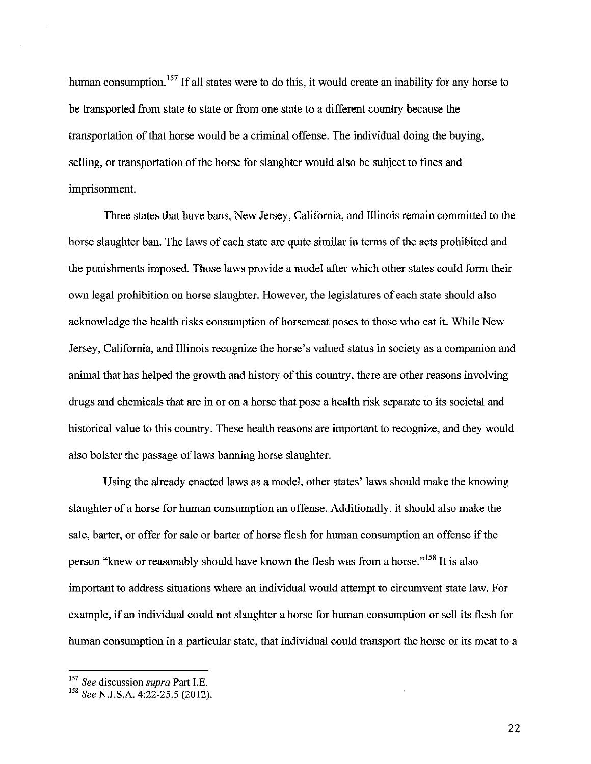human consumption.<sup>157</sup> If all states were to do this, it would create an inability for any horse to be transported from state to state or from one state to a different country because the transportation of that horse would be a criminal offense. The individual doing the buying, selling, or transportation of the horse for slaughter would also be subject to fmes and imprisonment.

Three states that have bans, New Jersey, California, and Illinois remain committed to the horse slaughter ban. The laws of each state are quite similar in terms of the acts prohibited and the punishments imposed. Those laws provide a model after which other states could form their own legal prohibition on horse slaughter. However, the legislatures of each state should also acknowledge the health risks consumption of horsemeat poses to those who eat it. While New Jersey, California, and Illinois recognize the horse's valued status in society as a companion and animal that has helped the growth and history of this country, there are other reasons involving drugs and chemicals that are in or on a horse that pose a health risk separate to its societal and historical value to this country. These health reasons are important to recognize, and they would also bolster the passage of laws banning horse slaughter.

Using the already enacted laws as a model, other states' laws should make the knowing slaughter of a horse for human consumption an offense. Additionally, it should also make the sale, barter, or offer for sale or barter of horse flesh for human consumption an offense if the person "knew or reasonably should have known the flesh was from a horse."<sup>158</sup> It is also important to address situations where an individual would attempt to circumvent state law. For example, if an individual could not slaughter a horse for human consumption or sell its flesh for human consumption in a particular state, that individual could transport the horse or its meat to a

<sup>157</sup>*See* discussion *supra* Part I.E.

<sup>&</sup>lt;sup>158</sup> *See* N.J.S.A. 4:22-25.5 (2012).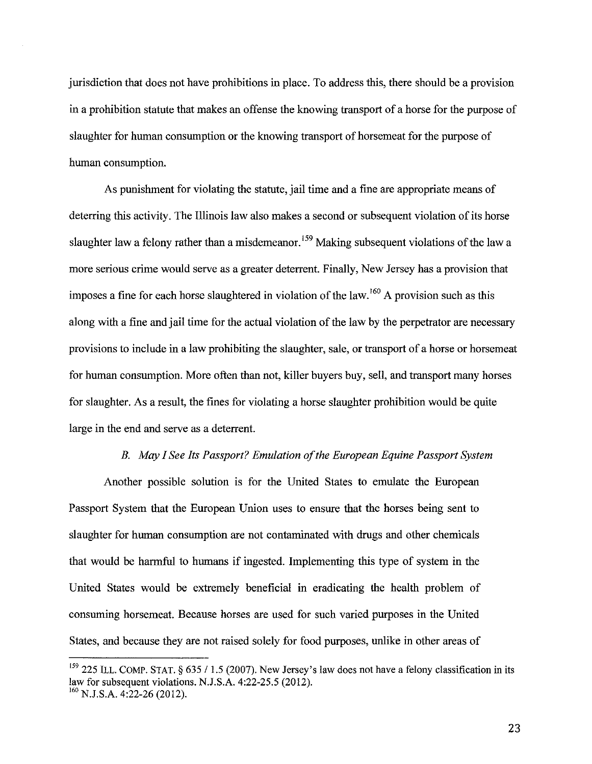jurisdiction that does not have prohibitions in place. To address this, there should be a provision in a prohibition statute that makes an offense the knowing transport of a horse for the purpose of slaughter for human consumption or the knowing transport of horsemeat for the purpose of human consumption.

As punishment for violating the statute, jail time and a fine are appropriate means of deterring this activity. The Illinois law also makes a second or subsequent violation of its horse slaughter law a felony rather than a misdemeanor.<sup>159</sup> Making subsequent violations of the law a more serious crime would serve as a greater deterrent. Finally, New Jersey has a provision that imposes a fine for each horse slaughtered in violation of the law.  $160$  A provision such as this along with a fine and jail time for the actual violation of the law by the perpetrator are necessary provisions to include in a law prohibiting the slaughter, sale, or transport of a horse or horsemeat for human consumption. More often than not, killer buyers buy, sell, and transport many horses for slaughter. As a result, the fines for violating a horse slaughter prohibition would be quite large in the end and serve as a deterrent.

#### *B. May I See Its Passport? Emulation of the European Equine Passport System*

Another possible solution is for the United States to emulate the European Passport System that the European Union uses to ensure that the horses being sent to slaughter for human consumption are not contaminated with drugs and other chemicals that would be harmful to humans if ingested. Implementing this type of system in the United States would be extremely beneficial in eradicating the health problem of consuming horsemeat. Because horses are used for such varied purposes in the United States, and because they are not raised solely for food purposes, unlike in other areas of

<sup>&</sup>lt;sup>159</sup> 225 ILL. COMP. STAT. § 635 / 1.5 (2007). New Jersey's law does not have a felony classification in its law for subsequent violations. N.J.S.A. 4:22-25.5 (2012).  $^{160}$  N.J.S.A. 4:22-26 (2012).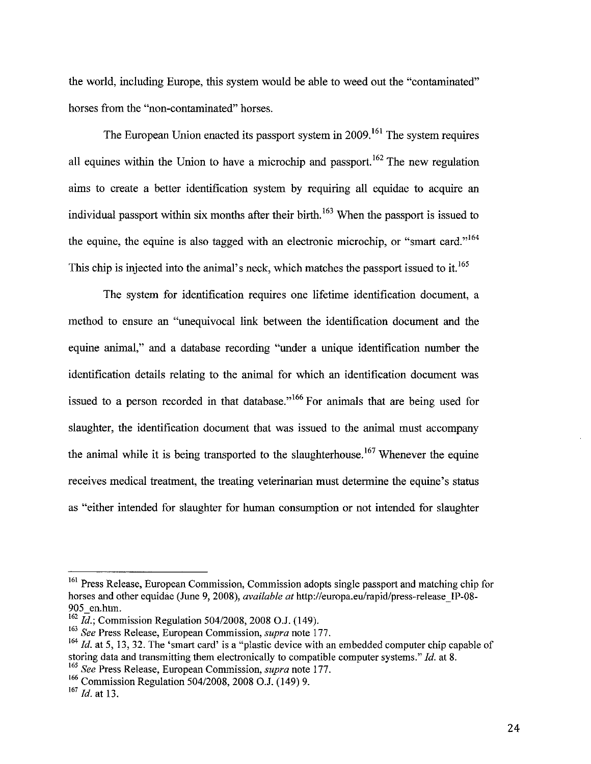the world, including Europe, this system would be able to weed out the "contaminated" horses from the "non-contaminated" horses.

The European Union enacted its passport system in 2009.<sup>161</sup> The system requires all equines within the Union to have a microchip and passport.  $162$  The new regulation aims to create a better identification system by requiring all equidae to acquire an individual passport within six months after their birth.<sup>163</sup> When the passport is issued to the equine, the equine is also tagged with an electronic microchip, or "smart card."<sup>164</sup> This chip is injected into the animal's neck, which matches the passport issued to it.<sup>165</sup>

The system for identification requires one lifetime identification document, a method to ensure an "unequivocal link between the identification document and the equine animal," and a database recording "under a unique identification number the identification details relating to the animal for which an identification document was issued to a person recorded in that database."<sup>166</sup> For animals that are being used for slaughter, the identification document that was issued to the animal must accompany the animal while it is being transported to the slaughterhouse.<sup>167</sup> Whenever the equine receives medical treatment, the treating veterinarian must determine the equine's status as "either intended for slaughter for human consumption or not intended for slaughter

<sup>&</sup>lt;sup>161</sup> Press Release, European Commission, Commission adopts single passport and matching chip for horses and other equidae (June 9, 2008), *available at* http://europa.eu/rapid/press-release<sup>IP-08-</sup> 905 en.htm.

<sup>162</sup>*id.;* Commission Regulation 504/2008, 2008 O.J. (149).

<sup>163</sup>*See* Press Release, European Commission, *supra* note 177.

<sup>&</sup>lt;sup>164</sup> *Id.* at 5, 13, 32. The 'smart card' is a "plastic device with an embedded computer chip capable of storing data and transmitting them electronically to compatible computer systems." *!d.* at 8.

<sup>165</sup>*See* Press Release, European Commission, *supra* note 177.

<sup>166</sup> Commission Regulation 504/2008, 2008 O.J. (149) 9.

<sup>167</sup>*!d.* at 13.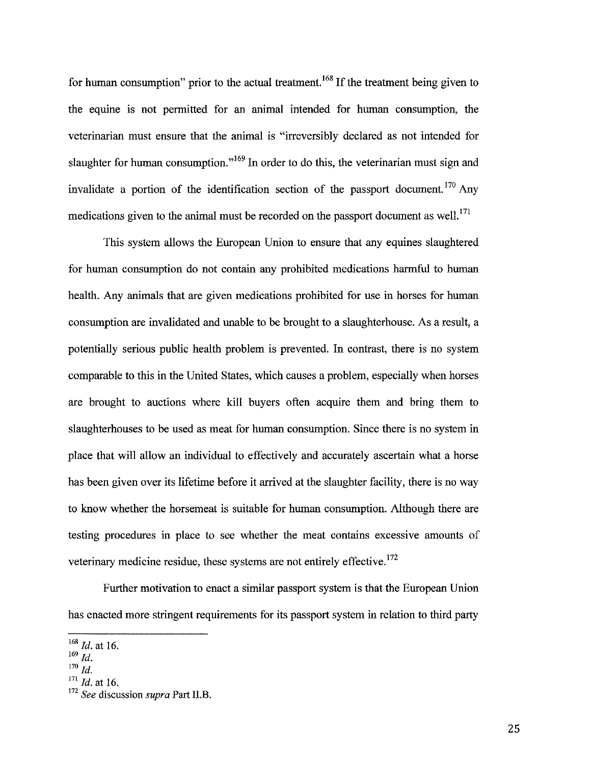for human consumption" prior to the actual treatment.<sup>168</sup> If the treatment being given to the equine is not permitted for an animal intended for human consumption, the veterinarian must ensure that the animal is "irreversibly declared as not intended for slaughter for human consumption."<sup>169</sup> In order to do this, the veterinarian must sign and invalidate a portion of the identification section of the passport document. 170 Any medications given to the animal must be recorded on the passport document as well.<sup>171</sup>

This system allows the European Union to ensure that any equines slaughtered for human consumption do not contain any prohibited medications harmful to human health. Any animals that are given medications prohibited for use in horses for human consumption are invalidated and unable to be brought to a slaughterhouse. As a result, a potentially serious public health problem is prevented. In contrast, there is no system comparable to this in the United States, which causes a problem, especially when horses are brought to auctions where kill buyers often acquire them and bring them to slaughterhouses to be used as meat for human consumption. Since there is no system in place that will allow an individual to effectively and accurately ascertain what a horse has been given over its lifetime before it arrived at the slaughter facility, there is no way to know whether the horsemeat is suitable for human consumption. Although there are testing procedures in place to see whether the meat contains excessive amounts of veterinary medicine residue, these systems are not entirely effective.<sup>172</sup>

Further motivation to enact a similar passport system is that the European Union has enacted more stringent requirements for its passport system in relation to third party

<sup>168</sup>*Id.* at 16.

 $^{169}\,$  Id.

 $170$  *ld.* 

<sup>171</sup>*Id.* at 16.

<sup>172</sup>*See* discussion *supra* Part II.B.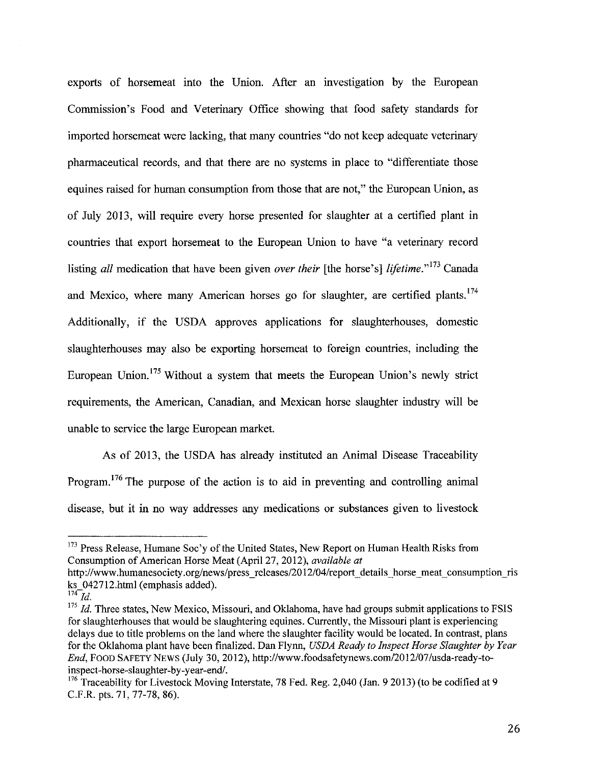exports of horsemeat into the Union. After an investigation by the European Commission's Food and Veterinary Office showing that food safety standards for imported horsemeat were lacking, that many countries "do not keep adequate veterinary pharmaceutical records, and that there are no systems in place to "differentiate those equines raised for human consumption from those that are not," the European Union, as of July 2013, will require every horse presented for slaughter at a certified plant in countries that export horsemeat to the European Union to have "a veterinary record listing *all* medication that have been given *over their* [the horse's] *lifetime*."<sup>173</sup> Canada and Mexico, where many American horses go for slaughter, are certified plants.<sup>174</sup> Additionally, if the USDA approves applications for slaughterhouses, domestic slaughterhouses may also be exporting horsemeat to foreign countries, including the European Union.<sup>175</sup> Without a system that meets the European Union's newly strict requirements, the American, Canadian, and Mexican horse slaughter industry will be unable to service the large European market.

As of 2013, the USDA has already instituted an Animal Disease Traceability Program.<sup>176</sup> The purpose of the action is to aid in preventing and controlling animal disease, but it in no way addresses any medications or substances given to livestock

<sup>&</sup>lt;sup>173</sup> Press Release, Humane Soc'y of the United States, New Report on Human Health Risks from Consumption of American Horse Meat (April 27, 2012), *available at* 

http://www.humanesociety.org/news/press\_releases/2012/04/report\_details\_horse\_meat\_consumption\_ris ks\_042712.html (emphasis added).

 $^{174}$ *Id.* 

<sup>&</sup>lt;sup>175</sup>*Id.* Three states, New Mexico, Missouri, and Oklahoma, have had groups submit applications to FSIS for slaughterhouses that would be slaughtering equines. Currently, the Missouri plant is experiencing delays due to title problems on the land where the slaughter facility would be located. In contrast, plans for the Oklahoma plant have been finalized. Dan Flynn, *USDA Ready to Inspect Horse Slaughter by Year End,* FOOD SAFETY NEWS (July 30, 2012), http://www.foodsafetynews.com/2012/07/usda-ready-toinspect-horse-slaughter-by-year-end/.

<sup>&</sup>lt;sup>176</sup> Traceability for Livestock Moving Interstate, 78 Fed. Reg. 2,040 (Jan. 9 2013) (to be codified at 9 C.P.R. pts. 71,77-78, 86).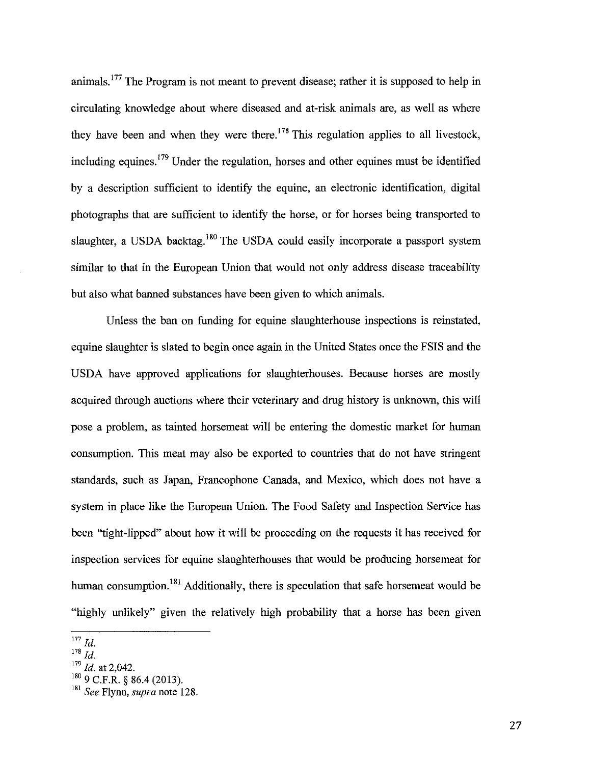animals. <sup>177</sup> The Program is not meant to prevent disease; rather it is supposed to help in circulating knowledge about where diseased and at-risk animals are, as well as where they have been and when they were there.  $178$  This regulation applies to all livestock, including equines.  $179$  Under the regulation, horses and other equines must be identified by a description sufficient to identify the equine, an electronic identification, digital photographs that are sufficient to identify the horse, or for horses being transported to slaughter, a USDA backtag.<sup>180</sup> The USDA could easily incorporate a passport system similar to that in the European Union that would not only address disease traceability but also what banned substances have been given to which animals.

Unless the ban on funding for equine slaughterhouse inspections is reinstated, equine slaughter is slated to begin once again in the United States once the FSIS and the USDA have approved applications for slaughterhouses. Because horses are mostly acquired through auctions where their veterinary and drug history is unknown, this will pose a problem, as tainted horsemeat will be entering the domestic market for human consumption. This meat may also be exported to countries that do not have stringent standards, such as Japan, Francophone Canada, and Mexico, which does not have a system in place like the European Union. The Food Safety and Inspection Service has been "tight-lipped" about how it will be proceeding on the requests it has received for inspection services for equine slaughterhouses that would be producing horsemeat for human consumption.<sup>181</sup> Additionally, there is speculation that safe horsemeat would be "highly unlikely" given the relatively high probability that a horse has been given

 $177$  *Id.* 

 $178$  *Id.* 

<sup>179</sup>*Id.* at 2,042.

 $180$  9 C.F.R. § 86.4 (2013).

<sup>181</sup>*See* Flynn, *supra* note 128.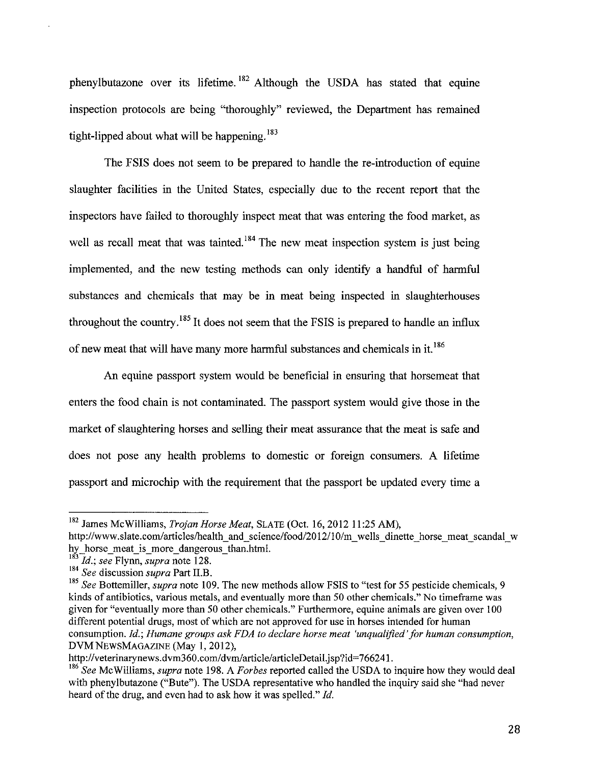phenylbutazone over its lifetime. 182 Although the USDA has stated that equine inspection protocols are being "thoroughly" reviewed, the Department has remained tight-lipped about what will be happening.<sup>183</sup>

The FSIS does not seem to be prepared to handle the re-introduction of equine slaughter facilities in the United States, especially due to the recent report that the inspectors have failed to thoroughly inspect meat that was entering the food market, as well as recall meat that was tainted.<sup>184</sup> The new meat inspection system is just being implemented, and the new testing methods can only identify a handful of harmful substances and chemicals that may be in meat being inspected in slaughterhouses throughout the country.<sup>185</sup> It does not seem that the FSIS is prepared to handle an influx of new meat that will have many more harmful substances and chemicals in it. <sup>186</sup>

An equine passport system would be beneficial in ensuring that horsemeat that enters the food chain is not contaminated. The passport system would give those in the market of slaughtering horses and selling their meat assurance that the meat is safe and does not pose any health problems to domestic or foreign consumers. A lifetime passport and microchip with the requirement that the passport be updated every time a

<sup>182</sup> James McWilliams, *Trojan Horse Meat,* SLATE (Oct. 16, 2012 II :25 AM), http://www.slate.com/articles/health and science/food/2012/10/m wells dinette horse meat scandal w hy horse meat is more dangerous than.html.

<sup>183</sup>*Id.; see* Flynn, *supra* note 128.

<sup>184</sup>*See* discussion *supra* Part II.B.

<sup>&</sup>lt;sup>185</sup> See Bottemiller, *supra* note 109. The new methods allow FSIS to "test for 55 pesticide chemicals, 9 kinds of antibiotics, various metals, and eventually more than 50 other chemicals." No timeframe was given for "eventually more than 50 other chemicals." Furthermore, equine animals are given over 100 different potential drugs, most of which are not approved for use in horses intended for human consumption. *Id.; Humane groups ask FDA to declare horse meat 'unqualified'for human consumption,*  DVM NEWSMAGAZINE (May I, 2012),

http://veterinarynews.dvm360.com/dvm/article/articleDetail.jsp?id=766241.

<sup>186</sup>*See* McWilliams, *supra* note 198. A *Forbes* reported called the USDA to inquire how they would deal with phenylbutazone ("Bute"). The USDA representative who handled the inquiry said she "had never heard of the drug, and even had to ask how it was spelled." *!d.*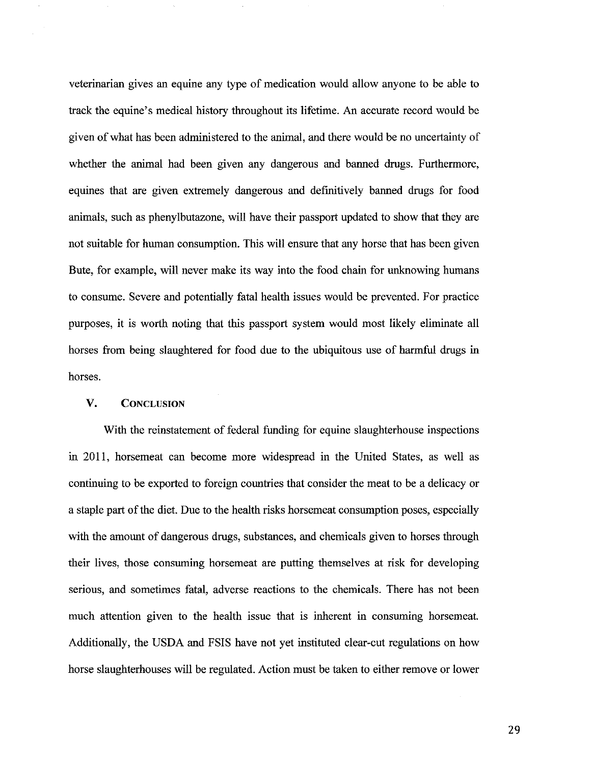veterinarian gives an equine any type of medication would allow anyone to be able to track the equine's medical history throughout its lifetime. An accurate record would be given of what has been administered to the animal, and there would be no uncertainty of whether the animal had been given any dangerous and banned drugs. Furthermore, equines that are given extremely dangerous and definitively banned drugs for food animals, such as phenylbutazone, will have their passport updated to show that they are not suitable for human consumption. This will ensure that any horse that has been given Bute, for example, will never make its way into the food chain for unknowing humans to consume. Severe and potentially fatal health issues would be prevented. For practice purposes, it is worth noting that this passport system would most likely eliminate all horses from being slaughtered for food due to the ubiquitous use of harmful drugs in horses.

#### V. CONCLUSION

With the reinstatement of federal funding for equine slaughterhouse inspections in 2011, horsemeat can become more widespread in the United States, as well as continuing to be exported to foreign countries that consider the meat to be a delicacy or a staple part of the diet. Due to the health risks horsemeat consumption poses, especially with the amount of dangerous drugs, substances, and chemicals given to horses through their lives, those consuming horsemeat are putting themselves at risk for developing serious, and sometimes fatal, adverse reactions to the chemicals. There has not been much attention given to the health issue that is inherent in consuming horsemeat. Additionally, the USDA and FSIS have not yet instituted clear-cut regulations on how horse slaughterhouses will be regulated. Action must be taken to either remove or lower